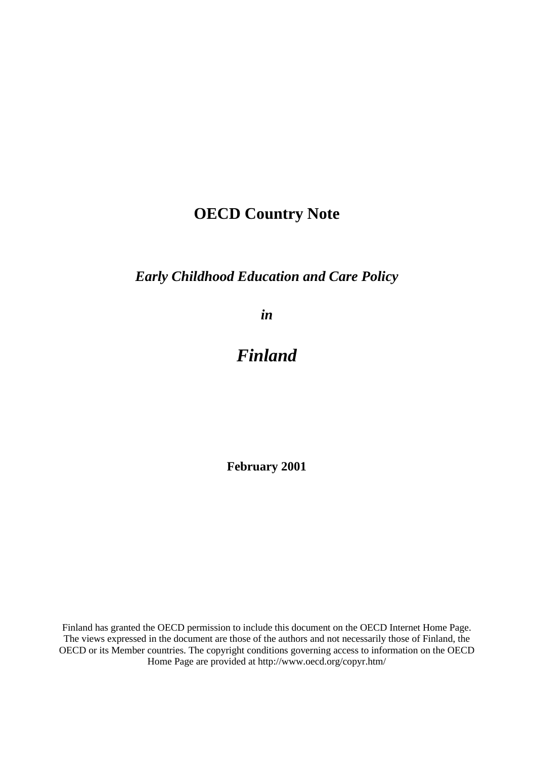# **OECD Country Note**

# *Early Childhood Education and Care Policy*

*in*

# *Finland*

**February 2001**

Finland has granted the OECD permission to include this document on the OECD Internet Home Page. The views expressed in the document are those of the authors and not necessarily those of Finland, the OECD or its Member countries. The copyright conditions governing access to information on the OECD Home Page are provided at http://www.oecd.org/copyr.htm/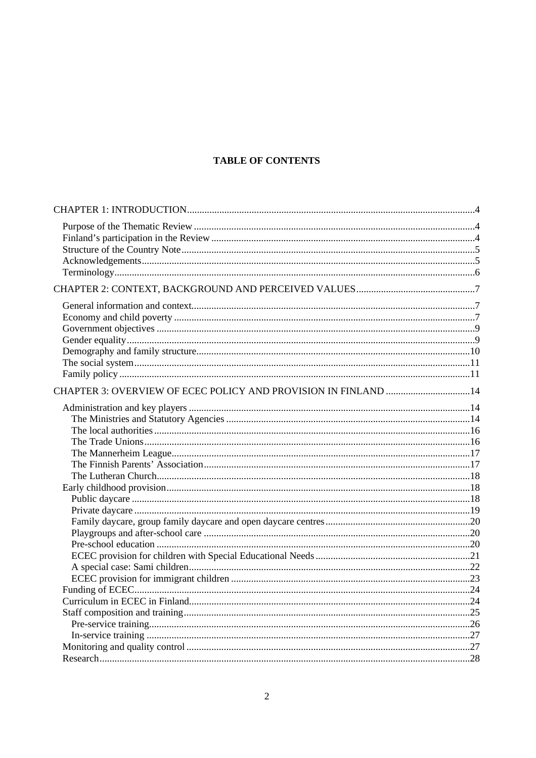# **TABLE OF CONTENTS**

| CHAPTER 3: OVERVIEW OF ECEC POLICY AND PROVISION IN FINLAND 14 |  |
|----------------------------------------------------------------|--|
|                                                                |  |
|                                                                |  |
|                                                                |  |
|                                                                |  |
|                                                                |  |
|                                                                |  |
|                                                                |  |
|                                                                |  |
|                                                                |  |
|                                                                |  |
|                                                                |  |
|                                                                |  |
|                                                                |  |
|                                                                |  |
|                                                                |  |
|                                                                |  |
|                                                                |  |
|                                                                |  |
|                                                                |  |
|                                                                |  |
|                                                                |  |
|                                                                |  |
|                                                                |  |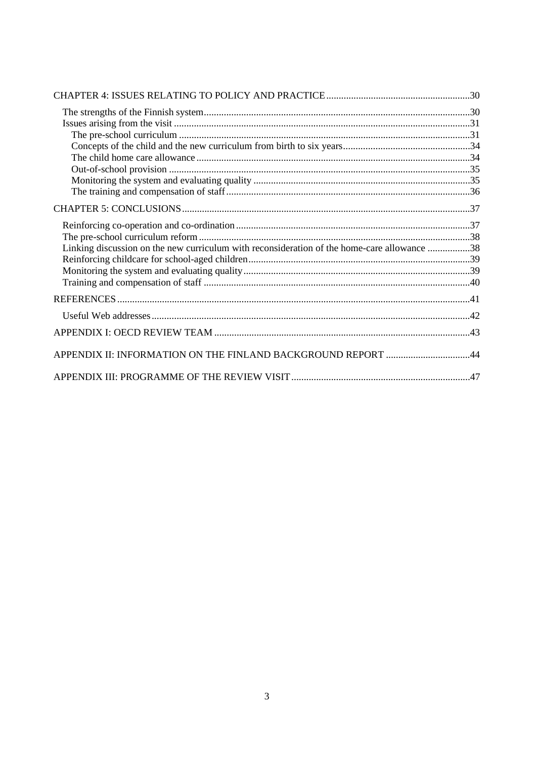| Linking discussion on the new curriculum with reconsideration of the home-care allowance 38 |  |
|---------------------------------------------------------------------------------------------|--|
|                                                                                             |  |
|                                                                                             |  |
|                                                                                             |  |
|                                                                                             |  |
|                                                                                             |  |
|                                                                                             |  |
|                                                                                             |  |
|                                                                                             |  |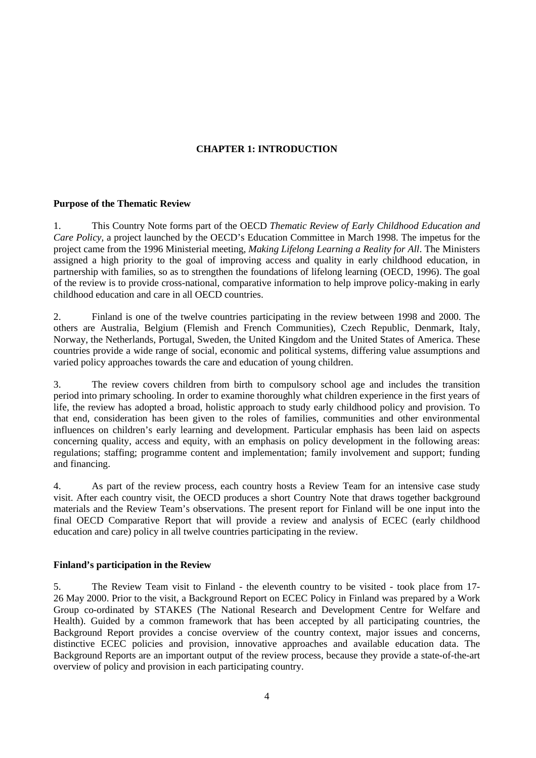# **CHAPTER 1: INTRODUCTION**

#### **Purpose of the Thematic Review**

1. This Country Note forms part of the OECD *Thematic Review of Early Childhood Education and Care Policy,* a project launched by the OECD's Education Committee in March 1998. The impetus for the project came from the 1996 Ministerial meeting, *Making Lifelong Learning a Reality for All*. The Ministers assigned a high priority to the goal of improving access and quality in early childhood education, in partnership with families, so as to strengthen the foundations of lifelong learning (OECD, 1996). The goal of the review is to provide cross-national, comparative information to help improve policy-making in early childhood education and care in all OECD countries.

2. Finland is one of the twelve countries participating in the review between 1998 and 2000. The others are Australia, Belgium (Flemish and French Communities), Czech Republic, Denmark, Italy, Norway, the Netherlands, Portugal, Sweden, the United Kingdom and the United States of America. These countries provide a wide range of social, economic and political systems, differing value assumptions and varied policy approaches towards the care and education of young children.

3. The review covers children from birth to compulsory school age and includes the transition period into primary schooling. In order to examine thoroughly what children experience in the first years of life, the review has adopted a broad, holistic approach to study early childhood policy and provision. To that end, consideration has been given to the roles of families, communities and other environmental influences on children's early learning and development. Particular emphasis has been laid on aspects concerning quality, access and equity, with an emphasis on policy development in the following areas: regulations; staffing; programme content and implementation; family involvement and support; funding and financing.

4. As part of the review process, each country hosts a Review Team for an intensive case study visit. After each country visit, the OECD produces a short Country Note that draws together background materials and the Review Team's observations. The present report for Finland will be one input into the final OECD Comparative Report that will provide a review and analysis of ECEC (early childhood education and care) policy in all twelve countries participating in the review.

## **Finland's participation in the Review**

5. The Review Team visit to Finland - the eleventh country to be visited - took place from 17- 26 May 2000. Prior to the visit, a Background Report on ECEC Policy in Finland was prepared by a Work Group co-ordinated by STAKES (The National Research and Development Centre for Welfare and Health). Guided by a common framework that has been accepted by all participating countries, the Background Report provides a concise overview of the country context, major issues and concerns, distinctive ECEC policies and provision, innovative approaches and available education data. The Background Reports are an important output of the review process, because they provide a state-of-the-art overview of policy and provision in each participating country.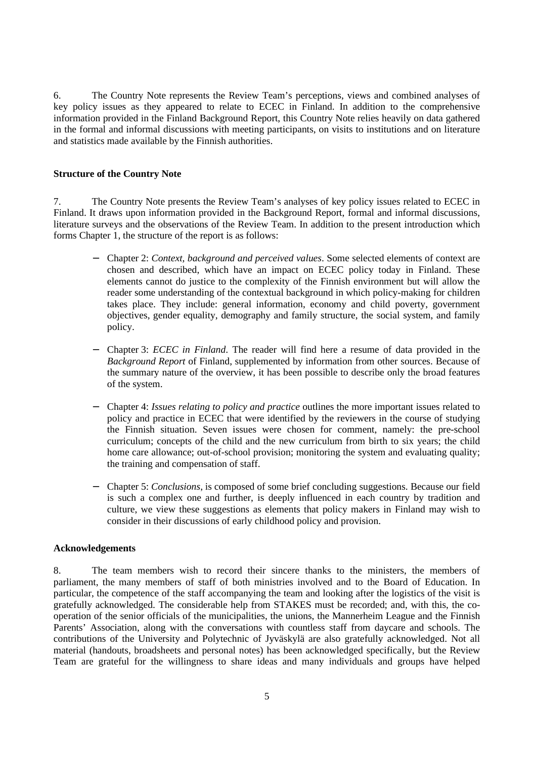6. The Country Note represents the Review Team's perceptions, views and combined analyses of key policy issues as they appeared to relate to ECEC in Finland. In addition to the comprehensive information provided in the Finland Background Report, this Country Note relies heavily on data gathered in the formal and informal discussions with meeting participants, on visits to institutions and on literature and statistics made available by the Finnish authorities.

#### **Structure of the Country Note**

7. The Country Note presents the Review Team's analyses of key policy issues related to ECEC in Finland. It draws upon information provided in the Background Report, formal and informal discussions, literature surveys and the observations of the Review Team. In addition to the present introduction which forms Chapter 1, the structure of the report is as follows:

- − Chapter 2: *Context, background and perceived values*. Some selected elements of context are chosen and described, which have an impact on ECEC policy today in Finland. These elements cannot do justice to the complexity of the Finnish environment but will allow the reader some understanding of the contextual background in which policy-making for children takes place. They include: general information, economy and child poverty, government objectives, gender equality, demography and family structure, the social system, and family policy.
- − Chapter 3: *ECEC in Finland*. The reader will find here a resume of data provided in the *Background Report* of Finland, supplemented by information from other sources. Because of the summary nature of the overview, it has been possible to describe only the broad features of the system.
- − Chapter 4: *Issues relating to policy and practice* outlines the more important issues related to policy and practice in ECEC that were identified by the reviewers in the course of studying the Finnish situation. Seven issues were chosen for comment, namely: the pre-school curriculum; concepts of the child and the new curriculum from birth to six years; the child home care allowance; out-of-school provision; monitoring the system and evaluating quality; the training and compensation of staff.
- − Chapter 5: *Conclusions*, is composed of some brief concluding suggestions. Because our field is such a complex one and further, is deeply influenced in each country by tradition and culture, we view these suggestions as elements that policy makers in Finland may wish to consider in their discussions of early childhood policy and provision.

#### **Acknowledgements**

8. The team members wish to record their sincere thanks to the ministers, the members of parliament, the many members of staff of both ministries involved and to the Board of Education. In particular, the competence of the staff accompanying the team and looking after the logistics of the visit is gratefully acknowledged. The considerable help from STAKES must be recorded; and, with this, the cooperation of the senior officials of the municipalities, the unions, the Mannerheim League and the Finnish Parents' Association, along with the conversations with countless staff from daycare and schools. The contributions of the University and Polytechnic of Jyväskylä are also gratefully acknowledged. Not all material (handouts, broadsheets and personal notes) has been acknowledged specifically, but the Review Team are grateful for the willingness to share ideas and many individuals and groups have helped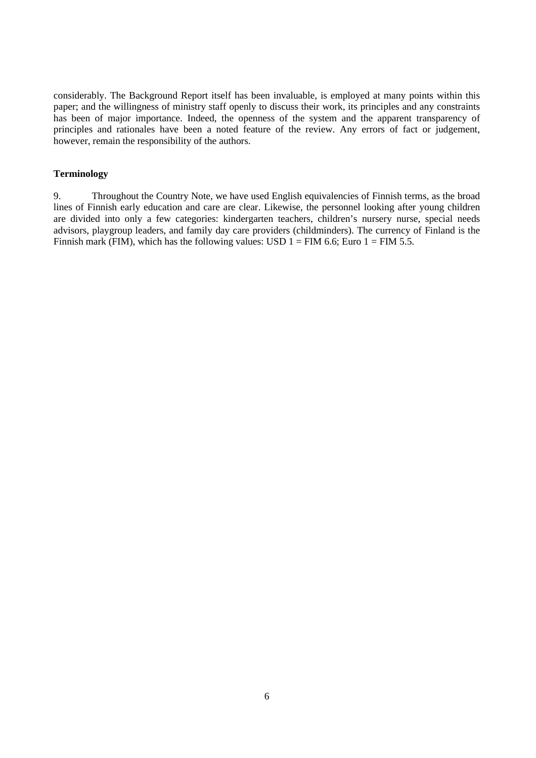considerably. The Background Report itself has been invaluable, is employed at many points within this paper; and the willingness of ministry staff openly to discuss their work, its principles and any constraints has been of major importance. Indeed, the openness of the system and the apparent transparency of principles and rationales have been a noted feature of the review. Any errors of fact or judgement, however, remain the responsibility of the authors.

#### **Terminology**

9. Throughout the Country Note, we have used English equivalencies of Finnish terms, as the broad lines of Finnish early education and care are clear. Likewise, the personnel looking after young children are divided into only a few categories: kindergarten teachers, children's nursery nurse, special needs advisors, playgroup leaders, and family day care providers (childminders). The currency of Finland is the Finnish mark (FIM), which has the following values: USD  $1 =$  FIM 6.6; Euro  $1 =$  FIM 5.5.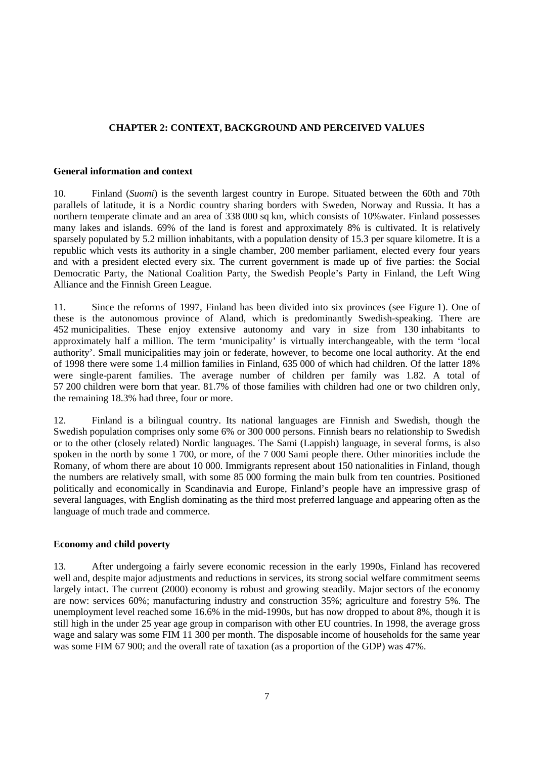# **CHAPTER 2: CONTEXT, BACKGROUND AND PERCEIVED VALUES**

#### **General information and context**

10. Finland (*Suomi*) is the seventh largest country in Europe. Situated between the 60th and 70th parallels of latitude, it is a Nordic country sharing borders with Sweden, Norway and Russia. It has a northern temperate climate and an area of 338 000 sq km, which consists of 10%water. Finland possesses many lakes and islands. 69% of the land is forest and approximately 8% is cultivated. It is relatively sparsely populated by 5.2 million inhabitants, with a population density of 15.3 per square kilometre. It is a republic which vests its authority in a single chamber, 200 member parliament, elected every four years and with a president elected every six. The current government is made up of five parties: the Social Democratic Party, the National Coalition Party, the Swedish People's Party in Finland, the Left Wing Alliance and the Finnish Green League.

11. Since the reforms of 1997, Finland has been divided into six provinces (see Figure 1). One of these is the autonomous province of Aland, which is predominantly Swedish-speaking. There are 452 municipalities. These enjoy extensive autonomy and vary in size from 130 inhabitants to approximately half a million. The term 'municipality' is virtually interchangeable, with the term 'local authority'. Small municipalities may join or federate, however, to become one local authority. At the end of 1998 there were some 1.4 million families in Finland, 635 000 of which had children. Of the latter 18% were single-parent families. The average number of children per family was 1.82. A total of 57 200 children were born that year. 81.7% of those families with children had one or two children only, the remaining 18.3% had three, four or more.

12. Finland is a bilingual country. Its national languages are Finnish and Swedish, though the Swedish population comprises only some 6% or 300 000 persons. Finnish bears no relationship to Swedish or to the other (closely related) Nordic languages. The Sami (Lappish) language, in several forms, is also spoken in the north by some 1 700, or more, of the 7 000 Sami people there. Other minorities include the Romany, of whom there are about 10 000. Immigrants represent about 150 nationalities in Finland, though the numbers are relatively small, with some 85 000 forming the main bulk from ten countries. Positioned politically and economically in Scandinavia and Europe, Finland's people have an impressive grasp of several languages, with English dominating as the third most preferred language and appearing often as the language of much trade and commerce.

## **Economy and child poverty**

13. After undergoing a fairly severe economic recession in the early 1990s, Finland has recovered well and, despite major adjustments and reductions in services, its strong social welfare commitment seems largely intact. The current (2000) economy is robust and growing steadily. Major sectors of the economy are now: services 60%; manufacturing industry and construction 35%; agriculture and forestry 5%. The unemployment level reached some 16.6% in the mid-1990s, but has now dropped to about 8%, though it is still high in the under 25 year age group in comparison with other EU countries. In 1998, the average gross wage and salary was some FIM 11 300 per month. The disposable income of households for the same year was some FIM 67 900; and the overall rate of taxation (as a proportion of the GDP) was 47%.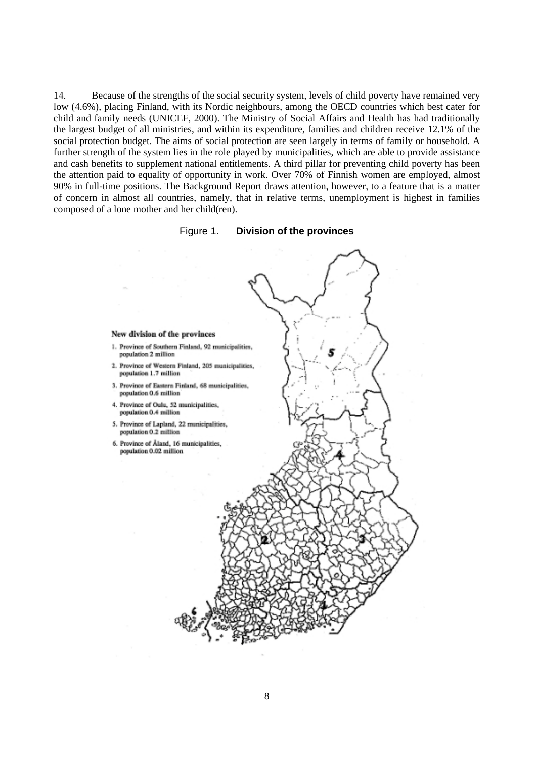14. Because of the strengths of the social security system, levels of child poverty have remained very low (4.6%), placing Finland, with its Nordic neighbours, among the OECD countries which best cater for child and family needs (UNICEF, 2000). The Ministry of Social Affairs and Health has had traditionally the largest budget of all ministries, and within its expenditure, families and children receive 12.1% of the social protection budget. The aims of social protection are seen largely in terms of family or household. A further strength of the system lies in the role played by municipalities, which are able to provide assistance and cash benefits to supplement national entitlements. A third pillar for preventing child poverty has been the attention paid to equality of opportunity in work. Over 70% of Finnish women are employed, almost 90% in full-time positions. The Background Report draws attention, however, to a feature that is a matter of concern in almost all countries, namely, that in relative terms, unemployment is highest in families composed of a lone mother and her child(ren).



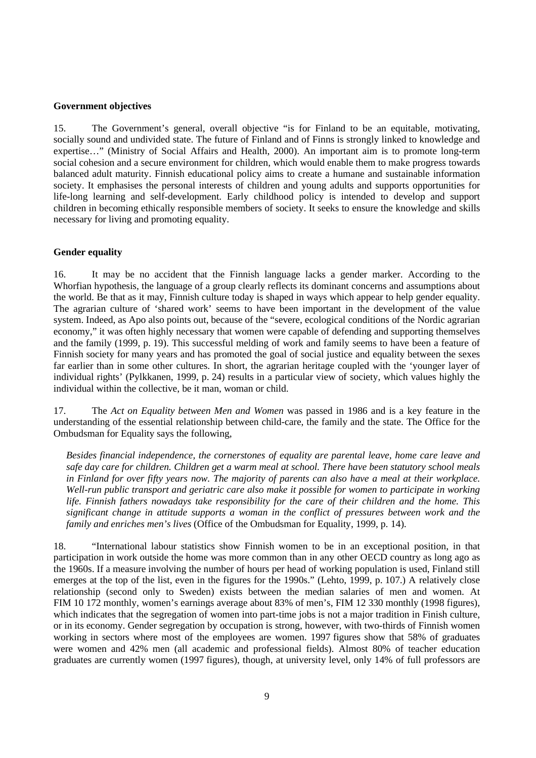#### **Government objectives**

15. The Government's general, overall objective "is for Finland to be an equitable, motivating, socially sound and undivided state. The future of Finland and of Finns is strongly linked to knowledge and expertise…" (Ministry of Social Affairs and Health, 2000). An important aim is to promote long-term social cohesion and a secure environment for children, which would enable them to make progress towards balanced adult maturity. Finnish educational policy aims to create a humane and sustainable information society. It emphasises the personal interests of children and young adults and supports opportunities for life-long learning and self-development. Early childhood policy is intended to develop and support children in becoming ethically responsible members of society. It seeks to ensure the knowledge and skills necessary for living and promoting equality.

#### **Gender equality**

16. It may be no accident that the Finnish language lacks a gender marker. According to the Whorfian hypothesis, the language of a group clearly reflects its dominant concerns and assumptions about the world. Be that as it may, Finnish culture today is shaped in ways which appear to help gender equality. The agrarian culture of 'shared work' seems to have been important in the development of the value system. Indeed, as Apo also points out, because of the "severe, ecological conditions of the Nordic agrarian economy," it was often highly necessary that women were capable of defending and supporting themselves and the family (1999, p. 19). This successful melding of work and family seems to have been a feature of Finnish society for many years and has promoted the goal of social justice and equality between the sexes far earlier than in some other cultures. In short, the agrarian heritage coupled with the 'younger layer of individual rights' (Pylkkanen, 1999, p. 24) results in a particular view of society, which values highly the individual within the collective, be it man, woman or child.

17. The *Act on Equality between Men and Women* was passed in 1986 and is a key feature in the understanding of the essential relationship between child-care, the family and the state. The Office for the Ombudsman for Equality says the following,

*Besides financial independence, the cornerstones of equality are parental leave, home care leave and safe day care for children. Children get a warm meal at school. There have been statutory school meals in Finland for over fifty years now. The majority of parents can also have a meal at their workplace. Well-run public transport and geriatric care also make it possible for women to participate in working life. Finnish fathers nowadays take responsibility for the care of their children and the home. This significant change in attitude supports a woman in the conflict of pressures between work and the family and enriches men's lives* (Office of the Ombudsman for Equality, 1999, p. 14).

18. "International labour statistics show Finnish women to be in an exceptional position, in that participation in work outside the home was more common than in any other OECD country as long ago as the 1960s. If a measure involving the number of hours per head of working population is used, Finland still emerges at the top of the list, even in the figures for the 1990s." (Lehto, 1999, p. 107.) A relatively close relationship (second only to Sweden) exists between the median salaries of men and women. At FIM 10 172 monthly, women's earnings average about 83% of men's, FIM 12 330 monthly (1998 figures), which indicates that the segregation of women into part-time jobs is not a major tradition in Finish culture, or in its economy. Gender segregation by occupation is strong, however, with two-thirds of Finnish women working in sectors where most of the employees are women. 1997 figures show that 58% of graduates were women and 42% men (all academic and professional fields). Almost 80% of teacher education graduates are currently women (1997 figures), though, at university level, only 14% of full professors are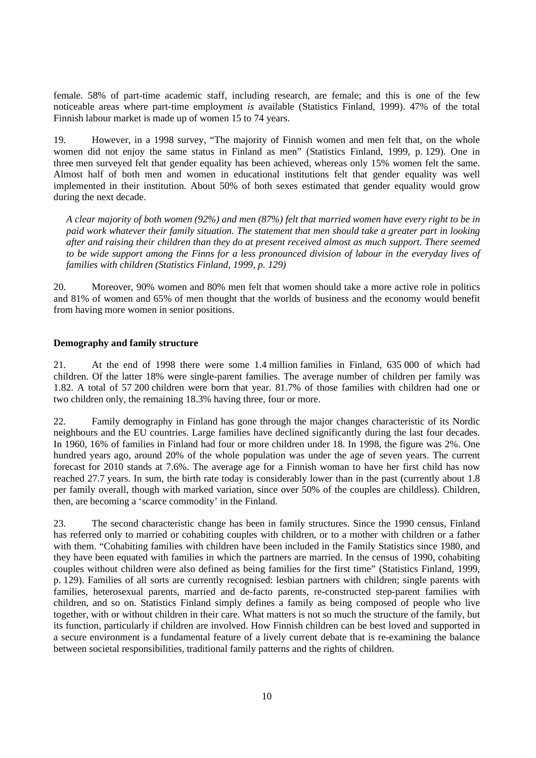female. 58% of part-time academic staff, including research, are female; and this is one of the few noticeable areas where part-time employment *is* available (Statistics Finland, 1999). 47% of the total Finnish labour market is made up of women 15 to 74 years.

19. However, in a 1998 survey, "The majority of Finnish women and men felt that, on the whole women did not enjoy the same status in Finland as men" (Statistics Finland, 1999, p. 129). One in three men surveyed felt that gender equality has been achieved, whereas only 15% women felt the same. Almost half of both men and women in educational institutions felt that gender equality was well implemented in their institution. About 50% of both sexes estimated that gender equality would grow during the next decade.

*A clear majority of both women (92%) and men (87%) felt that married women have every right to be in paid work whatever their family situation. The statement that men should take a greater part in looking after and raising their children than they do at present received almost as much support. There seemed to be wide support among the Finns for a less pronounced division of labour in the everyday lives of families with children (Statistics Finland, 1999, p. 129)*

20. Moreover, 90% women and 80% men felt that women should take a more active role in politics and 81% of women and 65% of men thought that the worlds of business and the economy would benefit from having more women in senior positions.

#### **Demography and family structure**

21. At the end of 1998 there were some 1.4 million families in Finland, 635 000 of which had children. Of the latter 18% were single-parent families. The average number of children per family was 1.82. A total of 57 200 children were born that year. 81.7% of those families with children had one or two children only, the remaining 18.3% having three, four or more.

22. Family demography in Finland has gone through the major changes characteristic of its Nordic neighbours and the EU countries. Large families have declined significantly during the last four decades. In 1960, 16% of families in Finland had four or more children under 18. In 1998, the figure was 2%. One hundred years ago, around 20% of the whole population was under the age of seven years. The current forecast for 2010 stands at 7.6%. The average age for a Finnish woman to have her first child has now reached 27.7 years. In sum, the birth rate today is considerably lower than in the past (currently about 1.8 per family overall, though with marked variation, since over 50% of the couples are childless). Children, then, are becoming a 'scarce commodity' in the Finland.

23. The second characteristic change has been in family structures. Since the 1990 census, Finland has referred only to married or cohabiting couples with children, or to a mother with children or a father with them. "Cohabiting families with children have been included in the Family Statistics since 1980, and they have been equated with families in which the partners are married. In the census of 1990, cohabiting couples without children were also defined as being families for the first time" (Statistics Finland, 1999, p. 129). Families of all sorts are currently recognised: lesbian partners with children; single parents with families, heterosexual parents, married and de-facto parents, re-constructed step-parent families with children, and so on. Statistics Finland simply defines a family as being composed of people who live together, with or without children in their care. What matters is not so much the structure of the family, but its function, particularly if children are involved. How Finnish children can be best loved and supported in a secure environment is a fundamental feature of a lively current debate that is re-examining the balance between societal responsibilities, traditional family patterns and the rights of children.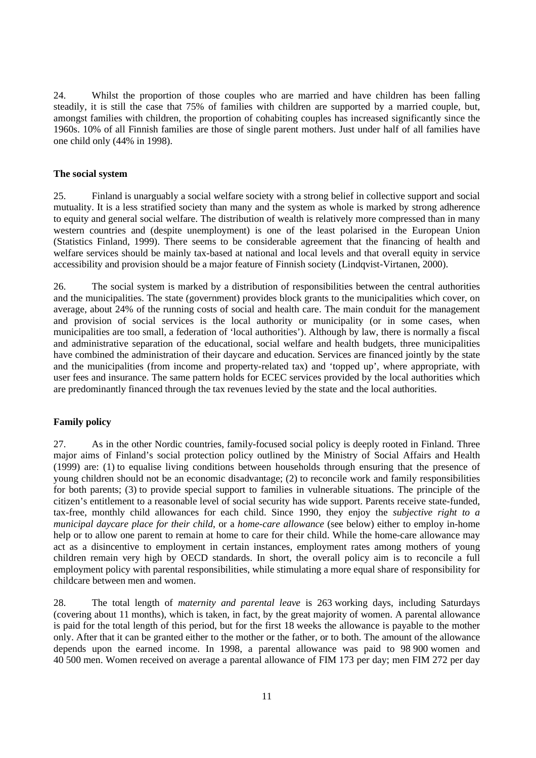24. Whilst the proportion of those couples who are married and have children has been falling steadily, it is still the case that 75% of families with children are supported by a married couple, but, amongst families with children, the proportion of cohabiting couples has increased significantly since the 1960s. 10% of all Finnish families are those of single parent mothers. Just under half of all families have one child only (44% in 1998).

#### **The social system**

25. Finland is unarguably a social welfare society with a strong belief in collective support and social mutuality. It is a less stratified society than many and the system as whole is marked by strong adherence to equity and general social welfare. The distribution of wealth is relatively more compressed than in many western countries and (despite unemployment) is one of the least polarised in the European Union (Statistics Finland, 1999). There seems to be considerable agreement that the financing of health and welfare services should be mainly tax-based at national and local levels and that overall equity in service accessibility and provision should be a major feature of Finnish society (Lindqvist-Virtanen, 2000).

26. The social system is marked by a distribution of responsibilities between the central authorities and the municipalities. The state (government) provides block grants to the municipalities which cover, on average, about 24% of the running costs of social and health care. The main conduit for the management and provision of social services is the local authority or municipality (or in some cases, when municipalities are too small, a federation of 'local authorities'). Although by law, there is normally a fiscal and administrative separation of the educational, social welfare and health budgets, three municipalities have combined the administration of their daycare and education. Services are financed jointly by the state and the municipalities (from income and property-related tax) and 'topped up', where appropriate, with user fees and insurance. The same pattern holds for ECEC services provided by the local authorities which are predominantly financed through the tax revenues levied by the state and the local authorities.

#### **Family policy**

27. As in the other Nordic countries, family-focused social policy is deeply rooted in Finland. Three major aims of Finland's social protection policy outlined by the Ministry of Social Affairs and Health (1999) are: (1) to equalise living conditions between households through ensuring that the presence of young children should not be an economic disadvantage; (2) to reconcile work and family responsibilities for both parents; (3) to provide special support to families in vulnerable situations. The principle of the citizen's entitlement to a reasonable level of social security has wide support. Parents receive state-funded, tax-free, monthly child allowances for each child. Since 1990, they enjoy the *subjective right to a municipal daycare place for their child*, or a *home-care allowance* (see below) either to employ in-home help or to allow one parent to remain at home to care for their child. While the home-care allowance may act as a disincentive to employment in certain instances, employment rates among mothers of young children remain very high by OECD standards. In short, the overall policy aim is to reconcile a full employment policy with parental responsibilities, while stimulating a more equal share of responsibility for childcare between men and women.

28. The total length of *maternity and parental leave* is 263 working days, including Saturdays (covering about 11 months), which is taken, in fact, by the great majority of women. A parental allowance is paid for the total length of this period, but for the first 18 weeks the allowance is payable to the mother only. After that it can be granted either to the mother or the father, or to both. The amount of the allowance depends upon the earned income. In 1998, a parental allowance was paid to 98 900 women and 40 500 men. Women received on average a parental allowance of FIM 173 per day; men FIM 272 per day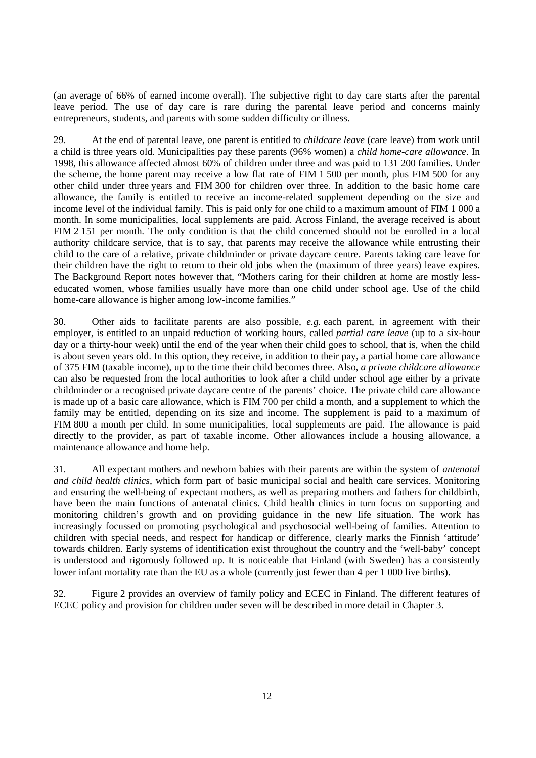(an average of 66% of earned income overall). The subjective right to day care starts after the parental leave period. The use of day care is rare during the parental leave period and concerns mainly entrepreneurs, students, and parents with some sudden difficulty or illness.

29. At the end of parental leave, one parent is entitled to *childcare leave* (care leave) from work until a child is three years old. Municipalities pay these parents (96% women) a *child home-care allowance*. In 1998, this allowance affected almost 60% of children under three and was paid to 131 200 families. Under the scheme, the home parent may receive a low flat rate of FIM 1 500 per month, plus FIM 500 for any other child under three years and FIM 300 for children over three. In addition to the basic home care allowance, the family is entitled to receive an income-related supplement depending on the size and income level of the individual family. This is paid only for one child to a maximum amount of FIM 1 000 a month. In some municipalities, local supplements are paid. Across Finland, the average received is about FIM 2 151 per month. The only condition is that the child concerned should not be enrolled in a local authority childcare service, that is to say, that parents may receive the allowance while entrusting their child to the care of a relative, private childminder or private daycare centre. Parents taking care leave for their children have the right to return to their old jobs when the (maximum of three years) leave expires. The Background Report notes however that, "Mothers caring for their children at home are mostly lesseducated women, whose families usually have more than one child under school age. Use of the child home-care allowance is higher among low-income families."

30. Other aids to facilitate parents are also possible, *e.g.* each parent, in agreement with their employer, is entitled to an unpaid reduction of working hours, called *partial care leave* (up to a six-hour day or a thirty-hour week) until the end of the year when their child goes to school, that is, when the child is about seven years old. In this option, they receive, in addition to their pay, a partial home care allowance of 375 FIM (taxable income), up to the time their child becomes three. Also, *a private childcare allowance* can also be requested from the local authorities to look after a child under school age either by a private childminder or a recognised private daycare centre of the parents' choice. The private child care allowance is made up of a basic care allowance, which is FIM 700 per child a month, and a supplement to which the family may be entitled, depending on its size and income. The supplement is paid to a maximum of FIM 800 a month per child. In some municipalities, local supplements are paid. The allowance is paid directly to the provider, as part of taxable income. Other allowances include a housing allowance, a maintenance allowance and home help.

31. All expectant mothers and newborn babies with their parents are within the system of *antenatal and child health clinics*, which form part of basic municipal social and health care services. Monitoring and ensuring the well-being of expectant mothers, as well as preparing mothers and fathers for childbirth, have been the main functions of antenatal clinics. Child health clinics in turn focus on supporting and monitoring children's growth and on providing guidance in the new life situation. The work has increasingly focussed on promoting psychological and psychosocial well-being of families. Attention to children with special needs, and respect for handicap or difference, clearly marks the Finnish 'attitude' towards children. Early systems of identification exist throughout the country and the 'well-baby' concept is understood and rigorously followed up. It is noticeable that Finland (with Sweden) has a consistently lower infant mortality rate than the EU as a whole (currently just fewer than 4 per 1 000 live births).

32. Figure 2 provides an overview of family policy and ECEC in Finland. The different features of ECEC policy and provision for children under seven will be described in more detail in Chapter 3.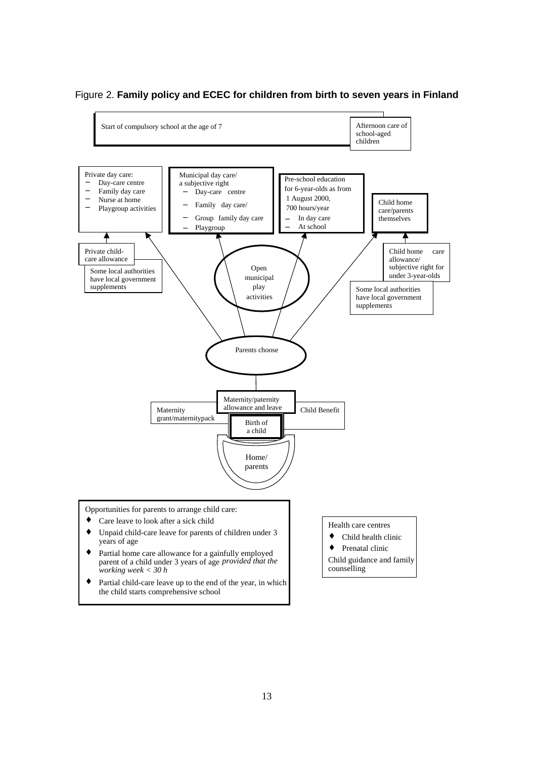

#### Figure 2. **Family policy and ECEC for children from birth to seven years in Finland**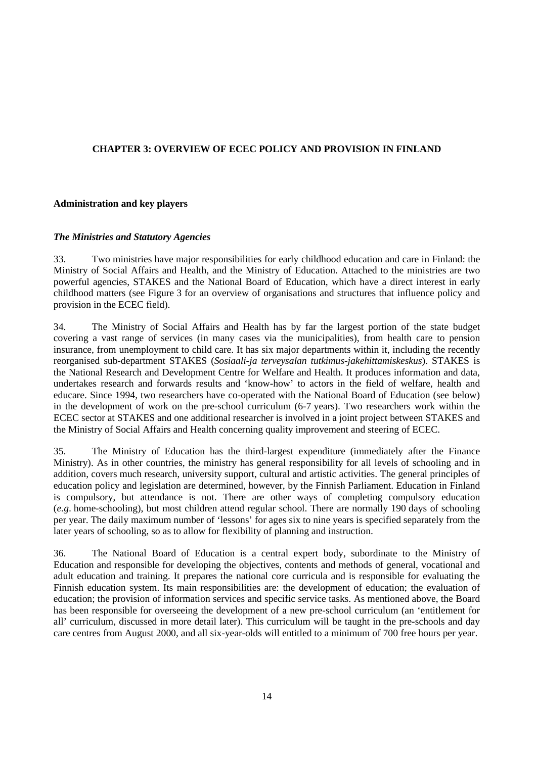# **CHAPTER 3: OVERVIEW OF ECEC POLICY AND PROVISION IN FINLAND**

## **Administration and key players**

## *The Ministries and Statutory Agencies*

33. Two ministries have major responsibilities for early childhood education and care in Finland: the Ministry of Social Affairs and Health, and the Ministry of Education. Attached to the ministries are two powerful agencies, STAKES and the National Board of Education, which have a direct interest in early childhood matters (see Figure 3 for an overview of organisations and structures that influence policy and provision in the ECEC field).

34. The Ministry of Social Affairs and Health has by far the largest portion of the state budget covering a vast range of services (in many cases via the municipalities), from health care to pension insurance, from unemployment to child care. It has six major departments within it, including the recently reorganised sub-department STAKES (*Sosiaali-ja terveysalan tutkimus-jakehittamiskeskus*). STAKES is the National Research and Development Centre for Welfare and Health. It produces information and data, undertakes research and forwards results and 'know-how' to actors in the field of welfare, health and educare. Since 1994, two researchers have co-operated with the National Board of Education (see below) in the development of work on the pre-school curriculum (6-7 years). Two researchers work within the ECEC sector at STAKES and one additional researcher is involved in a joint project between STAKES and the Ministry of Social Affairs and Health concerning quality improvement and steering of ECEC.

35. The Ministry of Education has the third-largest expenditure (immediately after the Finance Ministry). As in other countries, the ministry has general responsibility for all levels of schooling and in addition, covers much research, university support, cultural and artistic activities. The general principles of education policy and legislation are determined, however, by the Finnish Parliament. Education in Finland is compulsory, but attendance is not. There are other ways of completing compulsory education (*e.g*. home-schooling), but most children attend regular school. There are normally 190 days of schooling per year. The daily maximum number of 'lessons' for ages six to nine years is specified separately from the later years of schooling, so as to allow for flexibility of planning and instruction.

36. The National Board of Education is a central expert body, subordinate to the Ministry of Education and responsible for developing the objectives, contents and methods of general, vocational and adult education and training. It prepares the national core curricula and is responsible for evaluating the Finnish education system. Its main responsibilities are: the development of education; the evaluation of education; the provision of information services and specific service tasks. As mentioned above, the Board has been responsible for overseeing the development of a new pre-school curriculum (an 'entitlement for all' curriculum, discussed in more detail later). This curriculum will be taught in the pre-schools and day care centres from August 2000, and all six-year-olds will entitled to a minimum of 700 free hours per year.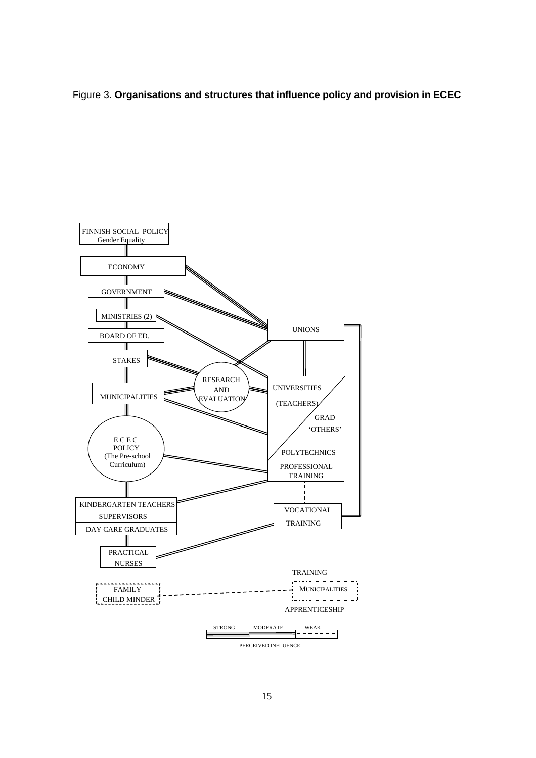# Figure 3. **Organisations and structures that influence policy and provision in ECEC**

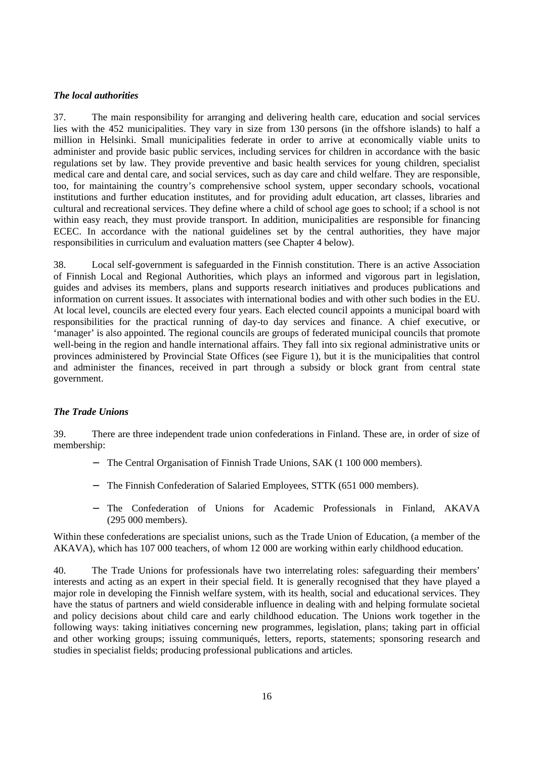#### *The local authorities*

37. The main responsibility for arranging and delivering health care, education and social services lies with the 452 municipalities. They vary in size from 130 persons (in the offshore islands) to half a million in Helsinki. Small municipalities federate in order to arrive at economically viable units to administer and provide basic public services, including services for children in accordance with the basic regulations set by law. They provide preventive and basic health services for young children, specialist medical care and dental care, and social services, such as day care and child welfare. They are responsible, too, for maintaining the country's comprehensive school system, upper secondary schools, vocational institutions and further education institutes, and for providing adult education, art classes, libraries and cultural and recreational services. They define where a child of school age goes to school; if a school is not within easy reach, they must provide transport. In addition, municipalities are responsible for financing ECEC. In accordance with the national guidelines set by the central authorities, they have major responsibilities in curriculum and evaluation matters (see Chapter 4 below).

38. Local self-government is safeguarded in the Finnish constitution. There is an active Association of Finnish Local and Regional Authorities, which plays an informed and vigorous part in legislation, guides and advises its members, plans and supports research initiatives and produces publications and information on current issues. It associates with international bodies and with other such bodies in the EU. At local level, councils are elected every four years. Each elected council appoints a municipal board with responsibilities for the practical running of day-to day services and finance. A chief executive, or 'manager' is also appointed. The regional councils are groups of federated municipal councils that promote well-being in the region and handle international affairs. They fall into six regional administrative units or provinces administered by Provincial State Offices (see Figure 1), but it is the municipalities that control and administer the finances, received in part through a subsidy or block grant from central state government.

#### *The Trade Unions*

39. There are three independent trade union confederations in Finland. These are, in order of size of membership:

- − The Central Organisation of Finnish Trade Unions, SAK (1 100 000 members).
- − The Finnish Confederation of Salaried Employees, STTK (651 000 members).
- − The Confederation of Unions for Academic Professionals in Finland, AKAVA (295 000 members).

Within these confederations are specialist unions, such as the Trade Union of Education, (a member of the AKAVA), which has 107 000 teachers, of whom 12 000 are working within early childhood education.

40. The Trade Unions for professionals have two interrelating roles: safeguarding their members' interests and acting as an expert in their special field. It is generally recognised that they have played a major role in developing the Finnish welfare system, with its health, social and educational services. They have the status of partners and wield considerable influence in dealing with and helping formulate societal and policy decisions about child care and early childhood education. The Unions work together in the following ways: taking initiatives concerning new programmes, legislation, plans; taking part in official and other working groups; issuing communiqués, letters, reports, statements; sponsoring research and studies in specialist fields; producing professional publications and articles.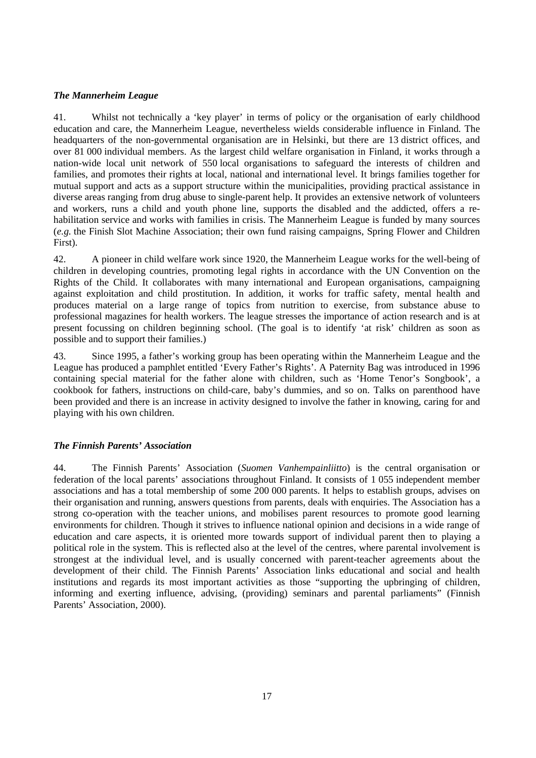# *The Mannerheim League*

41. Whilst not technically a 'key player' in terms of policy or the organisation of early childhood education and care, the Mannerheim League, nevertheless wields considerable influence in Finland. The headquarters of the non-governmental organisation are in Helsinki, but there are 13 district offices, and over 81 000 individual members. As the largest child welfare organisation in Finland, it works through a nation-wide local unit network of 550 local organisations to safeguard the interests of children and families, and promotes their rights at local, national and international level. It brings families together for mutual support and acts as a support structure within the municipalities, providing practical assistance in diverse areas ranging from drug abuse to single-parent help. It provides an extensive network of volunteers and workers, runs a child and youth phone line, supports the disabled and the addicted, offers a rehabilitation service and works with families in crisis. The Mannerheim League is funded by many sources (*e.g.* the Finish Slot Machine Association; their own fund raising campaigns, Spring Flower and Children First).

42. A pioneer in child welfare work since 1920, the Mannerheim League works for the well-being of children in developing countries, promoting legal rights in accordance with the UN Convention on the Rights of the Child. It collaborates with many international and European organisations, campaigning against exploitation and child prostitution. In addition, it works for traffic safety, mental health and produces material on a large range of topics from nutrition to exercise, from substance abuse to professional magazines for health workers. The league stresses the importance of action research and is at present focussing on children beginning school. (The goal is to identify 'at risk' children as soon as possible and to support their families.)

43. Since 1995, a father's working group has been operating within the Mannerheim League and the League has produced a pamphlet entitled 'Every Father's Rights'. A Paternity Bag was introduced in 1996 containing special material for the father alone with children, such as 'Home Tenor's Songbook', a cookbook for fathers, instructions on child-care, baby's dummies, and so on. Talks on parenthood have been provided and there is an increase in activity designed to involve the father in knowing, caring for and playing with his own children.

## *The Finnish Parents' Association*

44. The Finnish Parents' Association (*Suomen Vanhempainliitto*) is the central organisation or federation of the local parents' associations throughout Finland. It consists of 1 055 independent member associations and has a total membership of some 200 000 parents. It helps to establish groups, advises on their organisation and running, answers questions from parents, deals with enquiries. The Association has a strong co-operation with the teacher unions, and mobilises parent resources to promote good learning environments for children. Though it strives to influence national opinion and decisions in a wide range of education and care aspects, it is oriented more towards support of individual parent then to playing a political role in the system. This is reflected also at the level of the centres, where parental involvement is strongest at the individual level, and is usually concerned with parent-teacher agreements about the development of their child. The Finnish Parents' Association links educational and social and health institutions and regards its most important activities as those "supporting the upbringing of children, informing and exerting influence, advising, (providing) seminars and parental parliaments" (Finnish Parents' Association, 2000).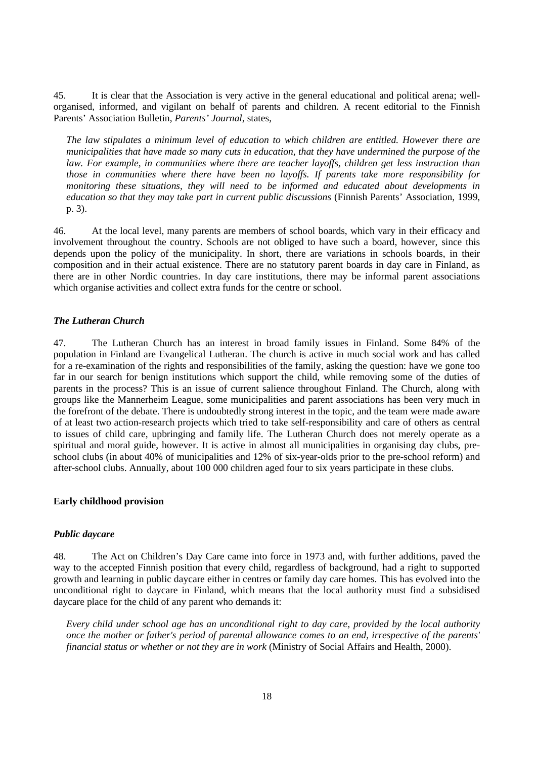45. It is clear that the Association is very active in the general educational and political arena; wellorganised, informed, and vigilant on behalf of parents and children. A recent editorial to the Finnish Parents' Association Bulletin, *Parents' Journal*, states,

*The law stipulates a minimum level of education to which children are entitled. However there are municipalities that have made so many cuts in education, that they have undermined the purpose of the law. For example, in communities where there are teacher layoffs, children get less instruction than those in communities where there have been no layoffs. If parents take more responsibility for monitoring these situations, they will need to be informed and educated about developments in education so that they may take part in current public discussions* (Finnish Parents' Association, 1999, p. 3).

46. At the local level, many parents are members of school boards, which vary in their efficacy and involvement throughout the country. Schools are not obliged to have such a board, however, since this depends upon the policy of the municipality. In short, there are variations in schools boards, in their composition and in their actual existence. There are no statutory parent boards in day care in Finland, as there are in other Nordic countries. In day care institutions, there may be informal parent associations which organise activities and collect extra funds for the centre or school.

#### *The Lutheran Church*

47. The Lutheran Church has an interest in broad family issues in Finland. Some 84% of the population in Finland are Evangelical Lutheran. The church is active in much social work and has called for a re-examination of the rights and responsibilities of the family, asking the question: have we gone too far in our search for benign institutions which support the child, while removing some of the duties of parents in the process? This is an issue of current salience throughout Finland. The Church, along with groups like the Mannerheim League, some municipalities and parent associations has been very much in the forefront of the debate. There is undoubtedly strong interest in the topic, and the team were made aware of at least two action-research projects which tried to take self-responsibility and care of others as central to issues of child care, upbringing and family life. The Lutheran Church does not merely operate as a spiritual and moral guide, however. It is active in almost all municipalities in organising day clubs, preschool clubs (in about 40% of municipalities and 12% of six-year-olds prior to the pre-school reform) and after-school clubs. Annually, about 100 000 children aged four to six years participate in these clubs.

#### **Early childhood provision**

#### *Public daycare*

48. The Act on Children's Day Care came into force in 1973 and, with further additions, paved the way to the accepted Finnish position that every child, regardless of background, had a right to supported growth and learning in public daycare either in centres or family day care homes. This has evolved into the unconditional right to daycare in Finland, which means that the local authority must find a subsidised daycare place for the child of any parent who demands it:

*Every child under school age has an unconditional right to day care, provided by the local authority once the mother or father's period of parental allowance comes to an end, irrespective of the parents' financial status or whether or not they are in work* (Ministry of Social Affairs and Health, 2000).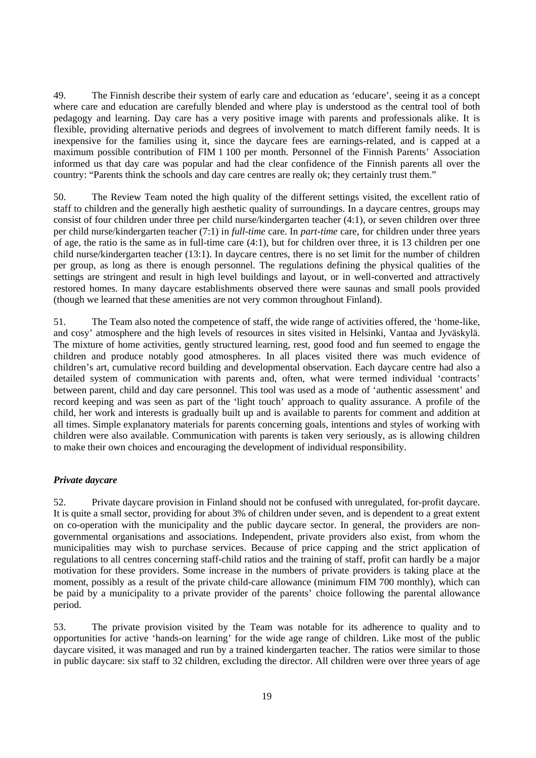49. The Finnish describe their system of early care and education as 'educare', seeing it as a concept where care and education are carefully blended and where play is understood as the central tool of both pedagogy and learning. Day care has a very positive image with parents and professionals alike. It is flexible, providing alternative periods and degrees of involvement to match different family needs. It is inexpensive for the families using it, since the daycare fees are earnings-related, and is capped at a maximum possible contribution of FIM 1 100 per month. Personnel of the Finnish Parents' Association informed us that day care was popular and had the clear confidence of the Finnish parents all over the country: "Parents think the schools and day care centres are really ok; they certainly trust them."

50. The Review Team noted the high quality of the different settings visited, the excellent ratio of staff to children and the generally high aesthetic quality of surroundings. In a daycare centres, groups may consist of four children under three per child nurse/kindergarten teacher (4:1), or seven children over three per child nurse/kindergarten teacher (7:1) in *full-time* care. In *part-time* care, for children under three years of age, the ratio is the same as in full-time care (4:1), but for children over three, it is 13 children per one child nurse/kindergarten teacher (13:1). In daycare centres, there is no set limit for the number of children per group, as long as there is enough personnel. The regulations defining the physical qualities of the settings are stringent and result in high level buildings and layout, or in well-converted and attractively restored homes. In many daycare establishments observed there were saunas and small pools provided (though we learned that these amenities are not very common throughout Finland).

51. The Team also noted the competence of staff, the wide range of activities offered, the 'home-like, and cosy' atmosphere and the high levels of resources in sites visited in Helsinki, Vantaa and Jyväskylä. The mixture of home activities, gently structured learning, rest, good food and fun seemed to engage the children and produce notably good atmospheres. In all places visited there was much evidence of children's art, cumulative record building and developmental observation. Each daycare centre had also a detailed system of communication with parents and, often, what were termed individual 'contracts' between parent, child and day care personnel. This tool was used as a mode of 'authentic assessment' and record keeping and was seen as part of the 'light touch' approach to quality assurance. A profile of the child, her work and interests is gradually built up and is available to parents for comment and addition at all times. Simple explanatory materials for parents concerning goals, intentions and styles of working with children were also available. Communication with parents is taken very seriously, as is allowing children to make their own choices and encouraging the development of individual responsibility.

## *Private daycare*

52. Private daycare provision in Finland should not be confused with unregulated, for-profit daycare. It is quite a small sector, providing for about 3% of children under seven, and is dependent to a great extent on co-operation with the municipality and the public daycare sector. In general, the providers are nongovernmental organisations and associations. Independent, private providers also exist, from whom the municipalities may wish to purchase services. Because of price capping and the strict application of regulations to all centres concerning staff-child ratios and the training of staff, profit can hardly be a major motivation for these providers. Some increase in the numbers of private providers is taking place at the moment, possibly as a result of the private child-care allowance (minimum FIM 700 monthly), which can be paid by a municipality to a private provider of the parents' choice following the parental allowance period.

53. The private provision visited by the Team was notable for its adherence to quality and to opportunities for active 'hands-on learning' for the wide age range of children. Like most of the public daycare visited, it was managed and run by a trained kindergarten teacher. The ratios were similar to those in public daycare: six staff to 32 children, excluding the director. All children were over three years of age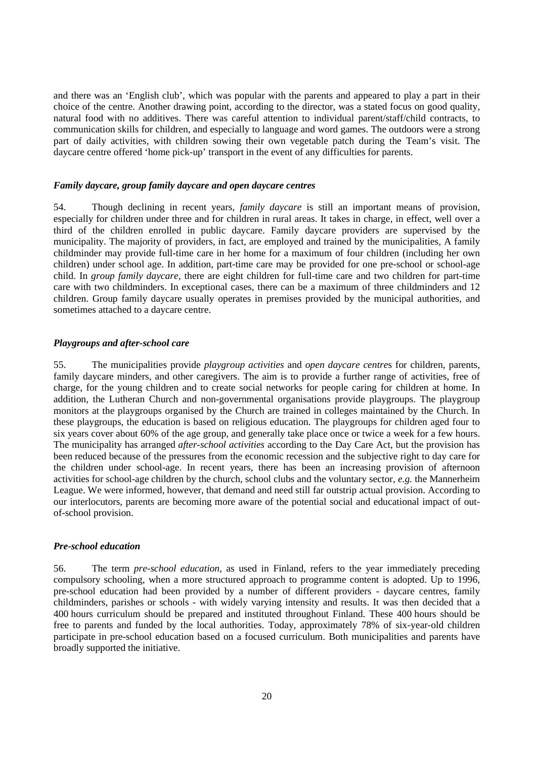and there was an 'English club', which was popular with the parents and appeared to play a part in their choice of the centre. Another drawing point, according to the director, was a stated focus on good quality, natural food with no additives. There was careful attention to individual parent/staff/child contracts, to communication skills for children, and especially to language and word games. The outdoors were a strong part of daily activities, with children sowing their own vegetable patch during the Team's visit. The daycare centre offered 'home pick-up' transport in the event of any difficulties for parents.

#### *Family daycare, group family daycare and open daycare centres*

54. Though declining in recent years, *family daycare* is still an important means of provision, especially for children under three and for children in rural areas. It takes in charge, in effect, well over a third of the children enrolled in public daycare. Family daycare providers are supervised by the municipality. The majority of providers, in fact, are employed and trained by the municipalities, A family childminder may provide full-time care in her home for a maximum of four children (including her own children) under school age. In addition, part-time care may be provided for one pre-school or school-age child. In *group family daycare*, there are eight children for full-time care and two children for part-time care with two childminders. In exceptional cases, there can be a maximum of three childminders and 12 children. Group family daycare usually operates in premises provided by the municipal authorities, and sometimes attached to a daycare centre.

#### *Playgroups and after-school care*

55. The municipalities provide *playgroup activities* and *open daycare centre*s for children, parents, family daycare minders, and other caregivers. The aim is to provide a further range of activities, free of charge, for the young children and to create social networks for people caring for children at home. In addition, the Lutheran Church and non-governmental organisations provide playgroups. The playgroup monitors at the playgroups organised by the Church are trained in colleges maintained by the Church. In these playgroups, the education is based on religious education. The playgroups for children aged four to six years cover about 60% of the age group, and generally take place once or twice a week for a few hours. The municipality has arranged *after-school activities* according to the Day Care Act, but the provision has been reduced because of the pressures from the economic recession and the subjective right to day care for the children under school-age. In recent years, there has been an increasing provision of afternoon activities for school-age children by the church, school clubs and the voluntary sector, *e.g.* the Mannerheim League. We were informed, however, that demand and need still far outstrip actual provision. According to our interlocutors, parents are becoming more aware of the potential social and educational impact of outof-school provision.

#### *Pre-school education*

56. The term *pre-school education*, as used in Finland, refers to the year immediately preceding compulsory schooling, when a more structured approach to programme content is adopted. Up to 1996, pre-school education had been provided by a number of different providers - daycare centres, family childminders, parishes or schools - with widely varying intensity and results. It was then decided that a 400 hours curriculum should be prepared and instituted throughout Finland. These 400 hours should be free to parents and funded by the local authorities. Today, approximately 78% of six-year-old children participate in pre-school education based on a focused curriculum. Both municipalities and parents have broadly supported the initiative.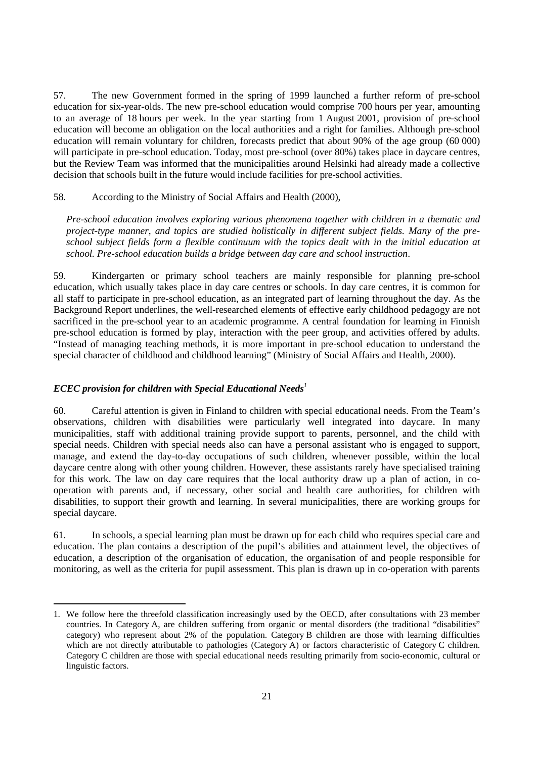57. The new Government formed in the spring of 1999 launched a further reform of pre-school education for six-year-olds. The new pre-school education would comprise 700 hours per year, amounting to an average of 18 hours per week. In the year starting from 1 August 2001, provision of pre-school education will become an obligation on the local authorities and a right for families. Although pre-school education will remain voluntary for children, forecasts predict that about 90% of the age group (60 000) will participate in pre-school education. Today, most pre-school (over 80%) takes place in daycare centres, but the Review Team was informed that the municipalities around Helsinki had already made a collective decision that schools built in the future would include facilities for pre-school activities.

#### 58. According to the Ministry of Social Affairs and Health (2000),

*Pre-school education involves exploring various phenomena together with children in a thematic and project-type manner, and topics are studied holistically in different subject fields. Many of the preschool subject fields form a flexible continuum with the topics dealt with in the initial education at school. Pre-school education builds a bridge between day care and school instruction*.

59. Kindergarten or primary school teachers are mainly responsible for planning pre-school education, which usually takes place in day care centres or schools. In day care centres, it is common for all staff to participate in pre-school education, as an integrated part of learning throughout the day. As the Background Report underlines, the well-researched elements of effective early childhood pedagogy are not sacrificed in the pre-school year to an academic programme. A central foundation for learning in Finnish pre-school education is formed by play, interaction with the peer group, and activities offered by adults. "Instead of managing teaching methods, it is more important in pre-school education to understand the special character of childhood and childhood learning" (Ministry of Social Affairs and Health, 2000).

## *ECEC provision for children with Special Educational Needs<sup>1</sup>*

60. Careful attention is given in Finland to children with special educational needs. From the Team's observations, children with disabilities were particularly well integrated into daycare. In many municipalities, staff with additional training provide support to parents, personnel, and the child with special needs. Children with special needs also can have a personal assistant who is engaged to support, manage, and extend the day-to-day occupations of such children, whenever possible, within the local daycare centre along with other young children. However, these assistants rarely have specialised training for this work. The law on day care requires that the local authority draw up a plan of action, in cooperation with parents and, if necessary, other social and health care authorities, for children with disabilities, to support their growth and learning. In several municipalities, there are working groups for special daycare.

61. In schools, a special learning plan must be drawn up for each child who requires special care and education. The plan contains a description of the pupil's abilities and attainment level, the objectives of education, a description of the organisation of education, the organisation of and people responsible for monitoring, as well as the criteria for pupil assessment. This plan is drawn up in co-operation with parents

<sup>1.</sup> We follow here the threefold classification increasingly used by the OECD, after consultations with 23 member countries. In Category A, are children suffering from organic or mental disorders (the traditional "disabilities" category) who represent about 2% of the population. Category B children are those with learning difficulties which are not directly attributable to pathologies (Category A) or factors characteristic of Category C children. Category C children are those with special educational needs resulting primarily from socio-economic, cultural or linguistic factors.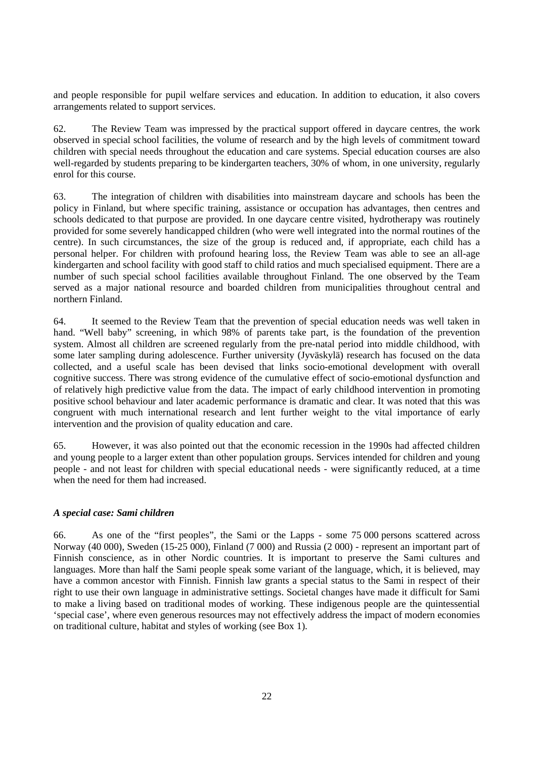and people responsible for pupil welfare services and education. In addition to education, it also covers arrangements related to support services.

62. The Review Team was impressed by the practical support offered in daycare centres, the work observed in special school facilities, the volume of research and by the high levels of commitment toward children with special needs throughout the education and care systems. Special education courses are also well-regarded by students preparing to be kindergarten teachers, 30% of whom, in one university, regularly enrol for this course.

63. The integration of children with disabilities into mainstream daycare and schools has been the policy in Finland, but where specific training, assistance or occupation has advantages, then centres and schools dedicated to that purpose are provided. In one daycare centre visited, hydrotherapy was routinely provided for some severely handicapped children (who were well integrated into the normal routines of the centre). In such circumstances, the size of the group is reduced and, if appropriate, each child has a personal helper. For children with profound hearing loss, the Review Team was able to see an all-age kindergarten and school facility with good staff to child ratios and much specialised equipment. There are a number of such special school facilities available throughout Finland. The one observed by the Team served as a major national resource and boarded children from municipalities throughout central and northern Finland.

64. It seemed to the Review Team that the prevention of special education needs was well taken in hand. "Well baby" screening, in which 98% of parents take part, is the foundation of the prevention system. Almost all children are screened regularly from the pre-natal period into middle childhood, with some later sampling during adolescence. Further university (Jyväskylä) research has focused on the data collected, and a useful scale has been devised that links socio-emotional development with overall cognitive success. There was strong evidence of the cumulative effect of socio-emotional dysfunction and of relatively high predictive value from the data. The impact of early childhood intervention in promoting positive school behaviour and later academic performance is dramatic and clear. It was noted that this was congruent with much international research and lent further weight to the vital importance of early intervention and the provision of quality education and care.

65. However, it was also pointed out that the economic recession in the 1990s had affected children and young people to a larger extent than other population groups. Services intended for children and young people - and not least for children with special educational needs - were significantly reduced, at a time when the need for them had increased.

#### *A special case: Sami children*

66. As one of the "first peoples", the Sami or the Lapps - some 75 000 persons scattered across Norway (40 000), Sweden (15-25 000), Finland (7 000) and Russia (2 000) - represent an important part of Finnish conscience, as in other Nordic countries. It is important to preserve the Sami cultures and languages. More than half the Sami people speak some variant of the language, which, it is believed, may have a common ancestor with Finnish. Finnish law grants a special status to the Sami in respect of their right to use their own language in administrative settings. Societal changes have made it difficult for Sami to make a living based on traditional modes of working. These indigenous people are the quintessential 'special case', where even generous resources may not effectively address the impact of modern economies on traditional culture, habitat and styles of working (see Box 1).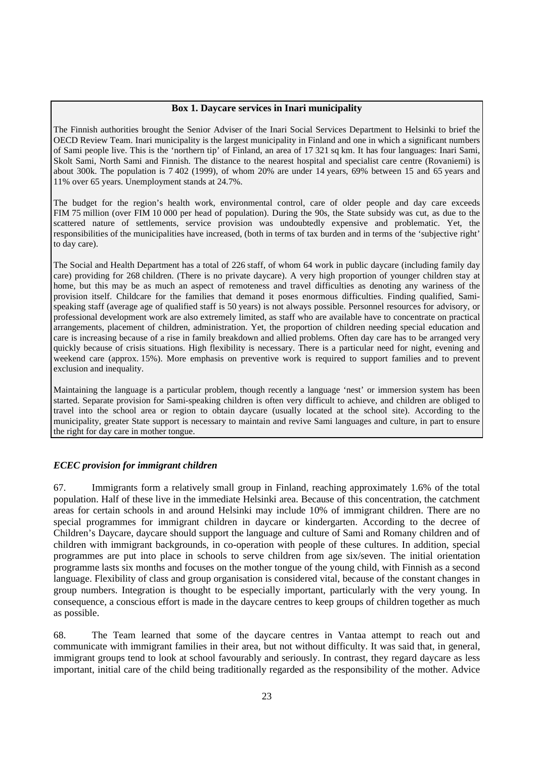#### **Box 1. Daycare services in Inari municipality**

The Finnish authorities brought the Senior Adviser of the Inari Social Services Department to Helsinki to brief the OECD Review Team. Inari municipality is the largest municipality in Finland and one in which a significant numbers of Sami people live. This is the 'northern tip' of Finland, an area of 17 321 sq km. It has four languages: Inari Sami, Skolt Sami, North Sami and Finnish. The distance to the nearest hospital and specialist care centre (Rovaniemi) is about 300k. The population is 7 402 (1999), of whom 20% are under 14 years, 69% between 15 and 65 years and 11% over 65 years. Unemployment stands at 24.7%.

The budget for the region's health work, environmental control, care of older people and day care exceeds FIM 75 million (over FIM 10 000 per head of population). During the 90s, the State subsidy was cut, as due to the scattered nature of settlements, service provision was undoubtedly expensive and problematic. Yet, the responsibilities of the municipalities have increased, (both in terms of tax burden and in terms of the 'subjective right' to day care).

The Social and Health Department has a total of 226 staff, of whom 64 work in public daycare (including family day care) providing for 268 children. (There is no private daycare). A very high proportion of younger children stay at home, but this may be as much an aspect of remoteness and travel difficulties as denoting any wariness of the provision itself. Childcare for the families that demand it poses enormous difficulties. Finding qualified, Samispeaking staff (average age of qualified staff is 50 years) is not always possible. Personnel resources for advisory, or professional development work are also extremely limited, as staff who are available have to concentrate on practical arrangements, placement of children, administration. Yet, the proportion of children needing special education and care is increasing because of a rise in family breakdown and allied problems. Often day care has to be arranged very quickly because of crisis situations. High flexibility is necessary. There is a particular need for night, evening and weekend care (approx. 15%). More emphasis on preventive work is required to support families and to prevent exclusion and inequality.

Maintaining the language is a particular problem, though recently a language 'nest' or immersion system has been started. Separate provision for Sami-speaking children is often very difficult to achieve, and children are obliged to travel into the school area or region to obtain daycare (usually located at the school site). According to the municipality, greater State support is necessary to maintain and revive Sami languages and culture, in part to ensure the right for day care in mother tongue.

## *ECEC provision for immigrant children*

67. Immigrants form a relatively small group in Finland, reaching approximately 1.6% of the total population. Half of these live in the immediate Helsinki area. Because of this concentration, the catchment areas for certain schools in and around Helsinki may include 10% of immigrant children. There are no special programmes for immigrant children in daycare or kindergarten. According to the decree of Children's Daycare, daycare should support the language and culture of Sami and Romany children and of children with immigrant backgrounds, in co-operation with people of these cultures. In addition, special programmes are put into place in schools to serve children from age six/seven. The initial orientation programme lasts six months and focuses on the mother tongue of the young child, with Finnish as a second language. Flexibility of class and group organisation is considered vital, because of the constant changes in group numbers. Integration is thought to be especially important, particularly with the very young. In consequence, a conscious effort is made in the daycare centres to keep groups of children together as much as possible.

68. The Team learned that some of the daycare centres in Vantaa attempt to reach out and communicate with immigrant families in their area, but not without difficulty. It was said that, in general, immigrant groups tend to look at school favourably and seriously. In contrast, they regard daycare as less important, initial care of the child being traditionally regarded as the responsibility of the mother. Advice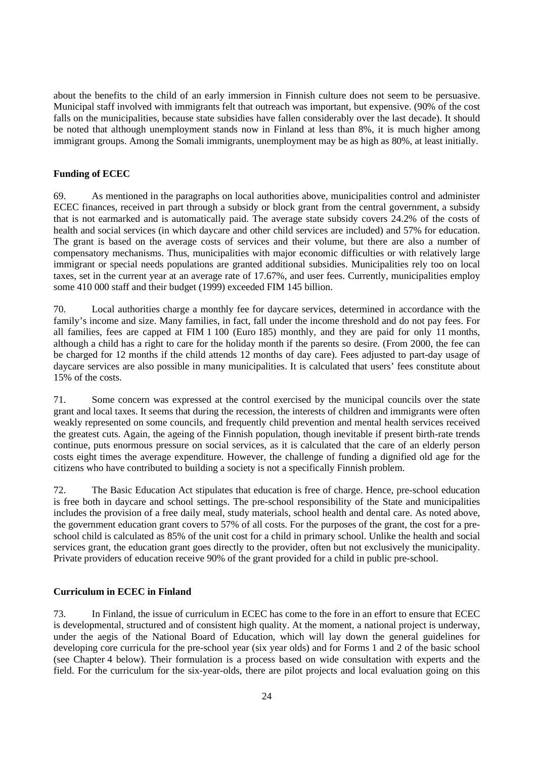about the benefits to the child of an early immersion in Finnish culture does not seem to be persuasive. Municipal staff involved with immigrants felt that outreach was important, but expensive. (90% of the cost falls on the municipalities, because state subsidies have fallen considerably over the last decade). It should be noted that although unemployment stands now in Finland at less than 8%, it is much higher among immigrant groups. Among the Somali immigrants, unemployment may be as high as 80%, at least initially.

## **Funding of ECEC**

69. As mentioned in the paragraphs on local authorities above, municipalities control and administer ECEC finances, received in part through a subsidy or block grant from the central government, a subsidy that is not earmarked and is automatically paid. The average state subsidy covers 24.2% of the costs of health and social services (in which daycare and other child services are included) and 57% for education. The grant is based on the average costs of services and their volume, but there are also a number of compensatory mechanisms. Thus, municipalities with major economic difficulties or with relatively large immigrant or special needs populations are granted additional subsidies. Municipalities rely too on local taxes, set in the current year at an average rate of 17.67%, and user fees. Currently, municipalities employ some 410 000 staff and their budget (1999) exceeded FIM 145 billion.

70. Local authorities charge a monthly fee for daycare services, determined in accordance with the family's income and size. Many families, in fact, fall under the income threshold and do not pay fees. For all families, fees are capped at FIM 1 100 (Euro 185) monthly, and they are paid for only 11 months, although a child has a right to care for the holiday month if the parents so desire. (From 2000, the fee can be charged for 12 months if the child attends 12 months of day care). Fees adjusted to part-day usage of daycare services are also possible in many municipalities. It is calculated that users' fees constitute about 15% of the costs.

71. Some concern was expressed at the control exercised by the municipal councils over the state grant and local taxes. It seems that during the recession, the interests of children and immigrants were often weakly represented on some councils, and frequently child prevention and mental health services received the greatest cuts. Again, the ageing of the Finnish population, though inevitable if present birth-rate trends continue, puts enormous pressure on social services, as it is calculated that the care of an elderly person costs eight times the average expenditure. However, the challenge of funding a dignified old age for the citizens who have contributed to building a society is not a specifically Finnish problem.

72. The Basic Education Act stipulates that education is free of charge. Hence, pre-school education is free both in daycare and school settings. The pre-school responsibility of the State and municipalities includes the provision of a free daily meal, study materials, school health and dental care. As noted above, the government education grant covers to 57% of all costs. For the purposes of the grant, the cost for a preschool child is calculated as 85% of the unit cost for a child in primary school. Unlike the health and social services grant, the education grant goes directly to the provider, often but not exclusively the municipality. Private providers of education receive 90% of the grant provided for a child in public pre-school.

#### **Curriculum in ECEC in Finland**

73. In Finland, the issue of curriculum in ECEC has come to the fore in an effort to ensure that ECEC is developmental, structured and of consistent high quality. At the moment, a national project is underway, under the aegis of the National Board of Education, which will lay down the general guidelines for developing core curricula for the pre-school year (six year olds) and for Forms 1 and 2 of the basic school (see Chapter 4 below). Their formulation is a process based on wide consultation with experts and the field. For the curriculum for the six-year-olds, there are pilot projects and local evaluation going on this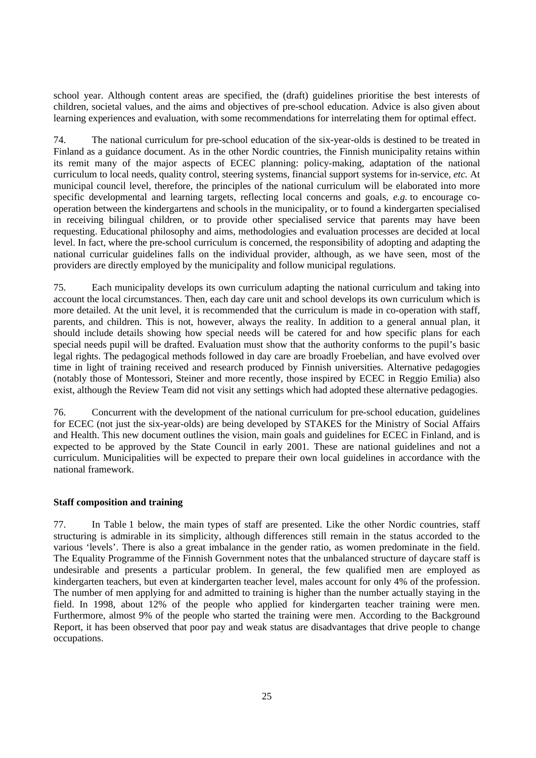school year. Although content areas are specified, the (draft) guidelines prioritise the best interests of children, societal values, and the aims and objectives of pre-school education. Advice is also given about learning experiences and evaluation, with some recommendations for interrelating them for optimal effect.

74. The national curriculum for pre-school education of the six-year-olds is destined to be treated in Finland as a guidance document. As in the other Nordic countries, the Finnish municipality retains within its remit many of the major aspects of ECEC planning: policy-making, adaptation of the national curriculum to local needs, quality control, steering systems, financial support systems for in-service, *etc.* At municipal council level, therefore, the principles of the national curriculum will be elaborated into more specific developmental and learning targets, reflecting local concerns and goals, *e.g.* to encourage cooperation between the kindergartens and schools in the municipality, or to found a kindergarten specialised in receiving bilingual children, or to provide other specialised service that parents may have been requesting. Educational philosophy and aims, methodologies and evaluation processes are decided at local level. In fact, where the pre-school curriculum is concerned, the responsibility of adopting and adapting the national curricular guidelines falls on the individual provider, although, as we have seen, most of the providers are directly employed by the municipality and follow municipal regulations.

75. Each municipality develops its own curriculum adapting the national curriculum and taking into account the local circumstances. Then, each day care unit and school develops its own curriculum which is more detailed. At the unit level, it is recommended that the curriculum is made in co-operation with staff, parents, and children. This is not, however, always the reality. In addition to a general annual plan, it should include details showing how special needs will be catered for and how specific plans for each special needs pupil will be drafted. Evaluation must show that the authority conforms to the pupil's basic legal rights. The pedagogical methods followed in day care are broadly Froebelian, and have evolved over time in light of training received and research produced by Finnish universities. Alternative pedagogies (notably those of Montessori, Steiner and more recently, those inspired by ECEC in Reggio Emilia) also exist, although the Review Team did not visit any settings which had adopted these alternative pedagogies.

76. Concurrent with the development of the national curriculum for pre-school education, guidelines for ECEC (not just the six-year-olds) are being developed by STAKES for the Ministry of Social Affairs and Health. This new document outlines the vision, main goals and guidelines for ECEC in Finland, and is expected to be approved by the State Council in early 2001. These are national guidelines and not a curriculum. Municipalities will be expected to prepare their own local guidelines in accordance with the national framework.

## **Staff composition and training**

77. In Table 1 below, the main types of staff are presented. Like the other Nordic countries, staff structuring is admirable in its simplicity, although differences still remain in the status accorded to the various 'levels'. There is also a great imbalance in the gender ratio, as women predominate in the field. The Equality Programme of the Finnish Government notes that the unbalanced structure of daycare staff is undesirable and presents a particular problem. In general, the few qualified men are employed as kindergarten teachers, but even at kindergarten teacher level, males account for only 4% of the profession. The number of men applying for and admitted to training is higher than the number actually staying in the field. In 1998, about 12% of the people who applied for kindergarten teacher training were men. Furthermore, almost 9% of the people who started the training were men. According to the Background Report, it has been observed that poor pay and weak status are disadvantages that drive people to change occupations.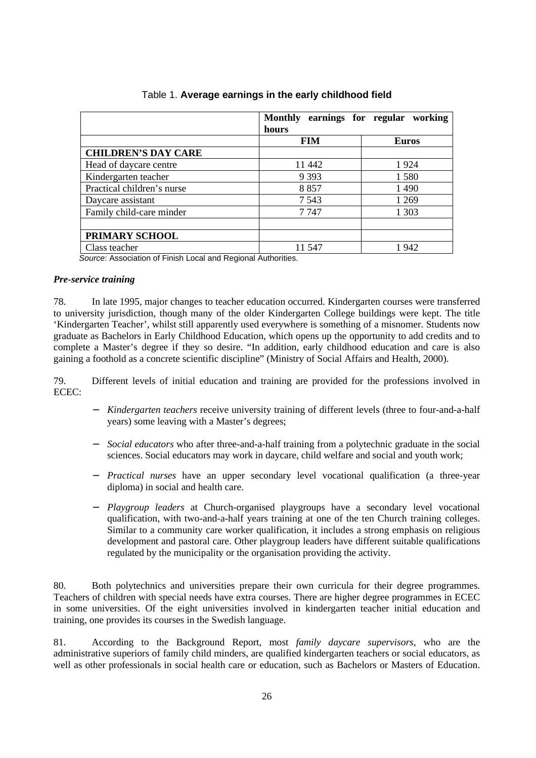|                                                                                                            | <b>Monthly</b><br>earnings for regular<br>hours | working      |
|------------------------------------------------------------------------------------------------------------|-------------------------------------------------|--------------|
|                                                                                                            | <b>FIM</b>                                      | <b>Euros</b> |
| <b>CHILDREN'S DAY CARE</b>                                                                                 |                                                 |              |
| Head of daycare centre                                                                                     | 11 442                                          | 1924         |
| Kindergarten teacher                                                                                       | 9 3 9 3                                         | 1580         |
| Practical children's nurse                                                                                 | 8857                                            | 1 4 9 0      |
| Daycare assistant                                                                                          | 7 5 4 3                                         | 1 269        |
| Family child-care minder                                                                                   | 7747                                            | 1 3 0 3      |
|                                                                                                            |                                                 |              |
| PRIMARY SCHOOL                                                                                             |                                                 |              |
| Class teacher<br>$\sim$ $ \sim$ $\sim$ $\sim$<br>$\sim$ $\sim$ $\sim$<br>$\cdot$ $\cdot$ $\cdot$<br>$\sim$ | 11 547<br>$\cdots$<br>$\cdot$                   | 1942         |

# Table 1. **Average earnings in the early childhood field**

Source: Association of Finish Local and Regional Authorities.

#### *Pre-service training*

78. In late 1995, major changes to teacher education occurred. Kindergarten courses were transferred to university jurisdiction, though many of the older Kindergarten College buildings were kept. The title 'Kindergarten Teacher', whilst still apparently used everywhere is something of a misnomer. Students now graduate as Bachelors in Early Childhood Education, which opens up the opportunity to add credits and to complete a Master's degree if they so desire. "In addition, early childhood education and care is also gaining a foothold as a concrete scientific discipline" (Ministry of Social Affairs and Health, 2000).

79. Different levels of initial education and training are provided for the professions involved in ECEC:

- − *Kindergarten teachers* receive university training of different levels (three to four-and-a-half years) some leaving with a Master's degrees;
- − *Social educators* who after three-and-a-half training from a polytechnic graduate in the social sciences. Social educators may work in daycare, child welfare and social and youth work;
- − *Practical nurses* have an upper secondary level vocational qualification (a three-year diploma) in social and health care.
- − *Playgroup leaders* at Church-organised playgroups have a secondary level vocational qualification, with two-and-a-half years training at one of the ten Church training colleges. Similar to a community care worker qualification, it includes a strong emphasis on religious development and pastoral care. Other playgroup leaders have different suitable qualifications regulated by the municipality or the organisation providing the activity.

80. Both polytechnics and universities prepare their own curricula for their degree programmes. Teachers of children with special needs have extra courses. There are higher degree programmes in ECEC in some universities. Of the eight universities involved in kindergarten teacher initial education and training, one provides its courses in the Swedish language.

81. According to the Background Report, most *family daycare supervisors*, who are the administrative superiors of family child minders, are qualified kindergarten teachers or social educators, as well as other professionals in social health care or education, such as Bachelors or Masters of Education.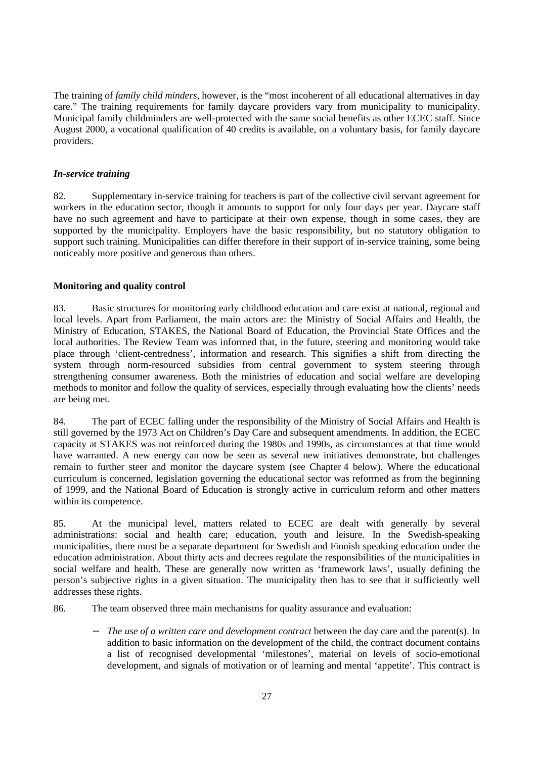The training of *family child minders,* however, is the "most incoherent of all educational alternatives in day care." The training requirements for family daycare providers vary from municipality to municipality. Municipal family childminders are well-protected with the same social benefits as other ECEC staff. Since August 2000, a vocational qualification of 40 credits is available, on a voluntary basis, for family daycare providers.

# *In-service training*

82. Supplementary in-service training for teachers is part of the collective civil servant agreement for workers in the education sector, though it amounts to support for only four days per year. Daycare staff have no such agreement and have to participate at their own expense, though in some cases, they are supported by the municipality. Employers have the basic responsibility, but no statutory obligation to support such training. Municipalities can differ therefore in their support of in-service training, some being noticeably more positive and generous than others.

# **Monitoring and quality control**

83. Basic structures for monitoring early childhood education and care exist at national, regional and local levels. Apart from Parliament, the main actors are: the Ministry of Social Affairs and Health, the Ministry of Education, STAKES, the National Board of Education, the Provincial State Offices and the local authorities. The Review Team was informed that, in the future, steering and monitoring would take place through 'client-centredness', information and research. This signifies a shift from directing the system through norm-resourced subsidies from central government to system steering through strengthening consumer awareness. Both the ministries of education and social welfare are developing methods to monitor and follow the quality of services, especially through evaluating how the clients' needs are being met.

84. The part of ECEC falling under the responsibility of the Ministry of Social Affairs and Health is still governed by the 1973 Act on Children's Day Care and subsequent amendments. In addition, the ECEC capacity at STAKES was not reinforced during the 1980s and 1990s, as circumstances at that time would have warranted. A new energy can now be seen as several new initiatives demonstrate, but challenges remain to further steer and monitor the daycare system (see Chapter 4 below). Where the educational curriculum is concerned, legislation governing the educational sector was reformed as from the beginning of 1999, and the National Board of Education is strongly active in curriculum reform and other matters within its competence.

85. At the municipal level, matters related to ECEC are dealt with generally by several administrations: social and health care; education, youth and leisure. In the Swedish-speaking municipalities, there must be a separate department for Swedish and Finnish speaking education under the education administration. About thirty acts and decrees regulate the responsibilities of the municipalities in social welfare and health. These are generally now written as 'framework laws', usually defining the person's subjective rights in a given situation. The municipality then has to see that it sufficiently well addresses these rights.

86. The team observed three main mechanisms for quality assurance and evaluation:

*The use of a written care and development contract* between the day care and the parent(s). In addition to basic information on the development of the child, the contract document contains a list of recognised developmental 'milestones', material on levels of socio-emotional development, and signals of motivation or of learning and mental 'appetite'. This contract is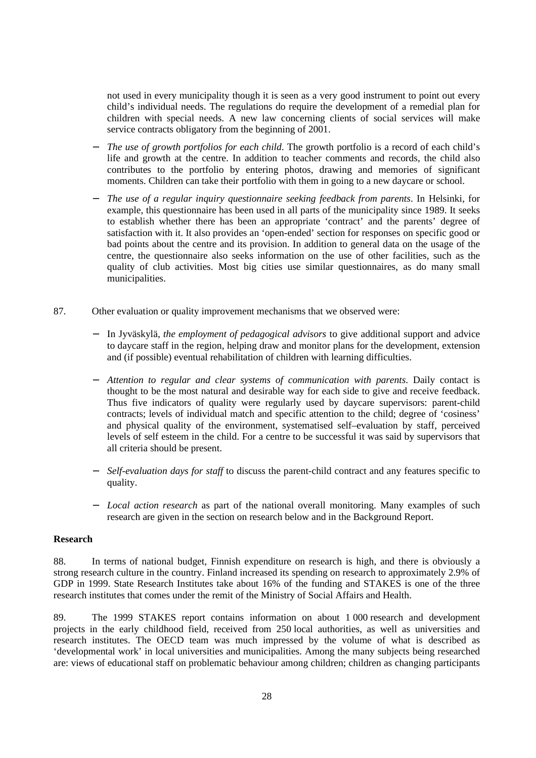not used in every municipality though it is seen as a very good instrument to point out every child's individual needs. The regulations do require the development of a remedial plan for children with special needs. A new law concerning clients of social services will make service contracts obligatory from the beginning of 2001.

- *The use of growth portfolios for each child.* The growth portfolio is a record of each child's life and growth at the centre. In addition to teacher comments and records, the child also contributes to the portfolio by entering photos, drawing and memories of significant moments. Children can take their portfolio with them in going to a new daycare or school.
- − *The use of a regular inquiry questionnaire seeking feedback from parents*. In Helsinki, for example, this questionnaire has been used in all parts of the municipality since 1989. It seeks to establish whether there has been an appropriate 'contract' and the parents' degree of satisfaction with it. It also provides an 'open-ended' section for responses on specific good or bad points about the centre and its provision. In addition to general data on the usage of the centre, the questionnaire also seeks information on the use of other facilities, such as the quality of club activities. Most big cities use similar questionnaires, as do many small municipalities.
- 87. Other evaluation or quality improvement mechanisms that we observed were:
	- − In Jyväskylä, *the employment of pedagogical advisors* to give additional support and advice to daycare staff in the region, helping draw and monitor plans for the development, extension and (if possible) eventual rehabilitation of children with learning difficulties.
	- − *Attention to regular and clear systems of communication with parents*. Daily contact is thought to be the most natural and desirable way for each side to give and receive feedback. Thus five indicators of quality were regularly used by daycare supervisors: parent-child contracts; levels of individual match and specific attention to the child; degree of 'cosiness' and physical quality of the environment, systematised self–evaluation by staff, perceived levels of self esteem in the child. For a centre to be successful it was said by supervisors that all criteria should be present.
	- − *Self-evaluation days for staff* to discuss the parent-child contract and any features specific to quality.
	- − *Local action research* as part of the national overall monitoring. Many examples of such research are given in the section on research below and in the Background Report.

#### **Research**

88. In terms of national budget, Finnish expenditure on research is high, and there is obviously a strong research culture in the country. Finland increased its spending on research to approximately 2.9% of GDP in 1999. State Research Institutes take about 16% of the funding and STAKES is one of the three research institutes that comes under the remit of the Ministry of Social Affairs and Health.

89. The 1999 STAKES report contains information on about 1 000 research and development projects in the early childhood field, received from 250 local authorities, as well as universities and research institutes. The OECD team was much impressed by the volume of what is described as 'developmental work' in local universities and municipalities. Among the many subjects being researched are: views of educational staff on problematic behaviour among children; children as changing participants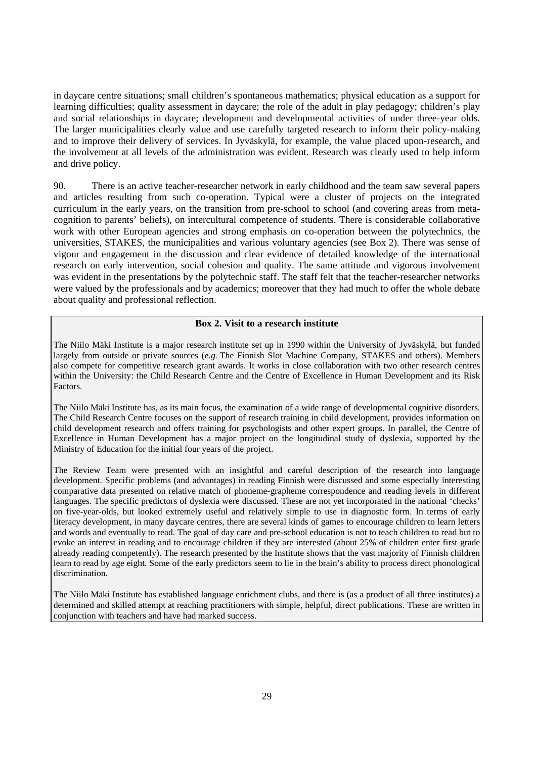in daycare centre situations; small children's spontaneous mathematics; physical education as a support for learning difficulties; quality assessment in daycare; the role of the adult in play pedagogy; children's play and social relationships in daycare; development and developmental activities of under three-year olds. The larger municipalities clearly value and use carefully targeted research to inform their policy-making and to improve their delivery of services. In Jyväskylä, for example, the value placed upon-research, and the involvement at all levels of the administration was evident. Research was clearly used to help inform and drive policy.

90. There is an active teacher-researcher network in early childhood and the team saw several papers and articles resulting from such co-operation. Typical were a cluster of projects on the integrated curriculum in the early years, on the transition from pre-school to school (and covering areas from metacognition to parents' beliefs), on intercultural competence of students. There is considerable collaborative work with other European agencies and strong emphasis on co-operation between the polytechnics, the universities, STAKES, the municipalities and various voluntary agencies (see Box 2). There was sense of vigour and engagement in the discussion and clear evidence of detailed knowledge of the international research on early intervention, social cohesion and quality. The same attitude and vigorous involvement was evident in the presentations by the polytechnic staff. The staff felt that the teacher-researcher networks were valued by the professionals and by academics; moreover that they had much to offer the whole debate about quality and professional reflection.

#### **Box 2. Visit to a research institute**

The Niilo Mäki Institute is a major research institute set up in 1990 within the University of Jyväskylä, but funded largely from outside or private sources (*e.g.* The Finnish Slot Machine Company, STAKES and others). Members also compete for competitive research grant awards. It works in close collaboration with two other research centres within the University: the Child Research Centre and the Centre of Excellence in Human Development and its Risk Factors.

The Niilo Mäki Institute has, as its main focus, the examination of a wide range of developmental cognitive disorders. The Child Research Centre focuses on the support of research training in child development, provides information on child development research and offers training for psychologists and other expert groups. In parallel, the Centre of Excellence in Human Development has a major project on the longitudinal study of dyslexia, supported by the Ministry of Education for the initial four years of the project.

The Review Team were presented with an insightful and careful description of the research into language development. Specific problems (and advantages) in reading Finnish were discussed and some especially interesting comparative data presented on relative match of phoneme-grapheme correspondence and reading levels in different languages. The specific predictors of dyslexia were discussed. These are not yet incorporated in the national 'checks' on five-year-olds, but looked extremely useful and relatively simple to use in diagnostic form. In terms of early literacy development, in many daycare centres, there are several kinds of games to encourage children to learn letters and words and eventually to read. The goal of day care and pre-school education is not to teach children to read but to evoke an interest in reading and to encourage children if they are interested (about 25% of children enter first grade already reading competently). The research presented by the Institute shows that the vast majority of Finnish children learn to read by age eight. Some of the early predictors seem to lie in the brain's ability to process direct phonological discrimination.

The Niilo Mäki Institute has established language enrichment clubs, and there is (as a product of all three institutes) a determined and skilled attempt at reaching practitioners with simple, helpful, direct publications. These are written in conjunction with teachers and have had marked success.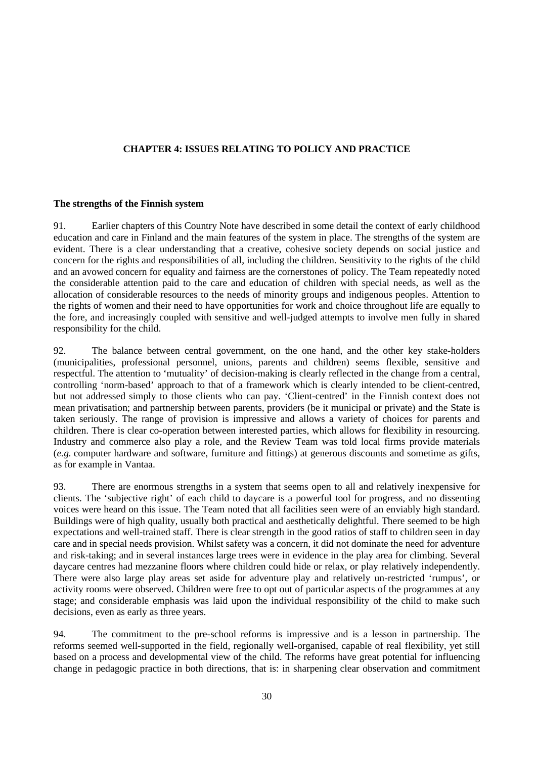# **CHAPTER 4: ISSUES RELATING TO POLICY AND PRACTICE**

#### **The strengths of the Finnish system**

91. Earlier chapters of this Country Note have described in some detail the context of early childhood education and care in Finland and the main features of the system in place. The strengths of the system are evident. There is a clear understanding that a creative, cohesive society depends on social justice and concern for the rights and responsibilities of all, including the children. Sensitivity to the rights of the child and an avowed concern for equality and fairness are the cornerstones of policy. The Team repeatedly noted the considerable attention paid to the care and education of children with special needs, as well as the allocation of considerable resources to the needs of minority groups and indigenous peoples. Attention to the rights of women and their need to have opportunities for work and choice throughout life are equally to the fore, and increasingly coupled with sensitive and well-judged attempts to involve men fully in shared responsibility for the child.

92. The balance between central government, on the one hand, and the other key stake-holders (municipalities, professional personnel, unions, parents and children) seems flexible, sensitive and respectful. The attention to 'mutuality' of decision-making is clearly reflected in the change from a central, controlling 'norm-based' approach to that of a framework which is clearly intended to be client-centred, but not addressed simply to those clients who can pay. 'Client-centred' in the Finnish context does not mean privatisation; and partnership between parents, providers (be it municipal or private) and the State is taken seriously. The range of provision is impressive and allows a variety of choices for parents and children. There is clear co-operation between interested parties, which allows for flexibility in resourcing. Industry and commerce also play a role, and the Review Team was told local firms provide materials (*e.g.* computer hardware and software, furniture and fittings) at generous discounts and sometime as gifts, as for example in Vantaa.

93. There are enormous strengths in a system that seems open to all and relatively inexpensive for clients. The 'subjective right' of each child to daycare is a powerful tool for progress, and no dissenting voices were heard on this issue. The Team noted that all facilities seen were of an enviably high standard. Buildings were of high quality, usually both practical and aesthetically delightful. There seemed to be high expectations and well-trained staff. There is clear strength in the good ratios of staff to children seen in day care and in special needs provision. Whilst safety was a concern, it did not dominate the need for adventure and risk-taking; and in several instances large trees were in evidence in the play area for climbing. Several daycare centres had mezzanine floors where children could hide or relax, or play relatively independently. There were also large play areas set aside for adventure play and relatively un-restricted 'rumpus', or activity rooms were observed. Children were free to opt out of particular aspects of the programmes at any stage; and considerable emphasis was laid upon the individual responsibility of the child to make such decisions, even as early as three years.

94. The commitment to the pre-school reforms is impressive and is a lesson in partnership. The reforms seemed well-supported in the field, regionally well-organised, capable of real flexibility, yet still based on a process and developmental view of the child. The reforms have great potential for influencing change in pedagogic practice in both directions, that is: in sharpening clear observation and commitment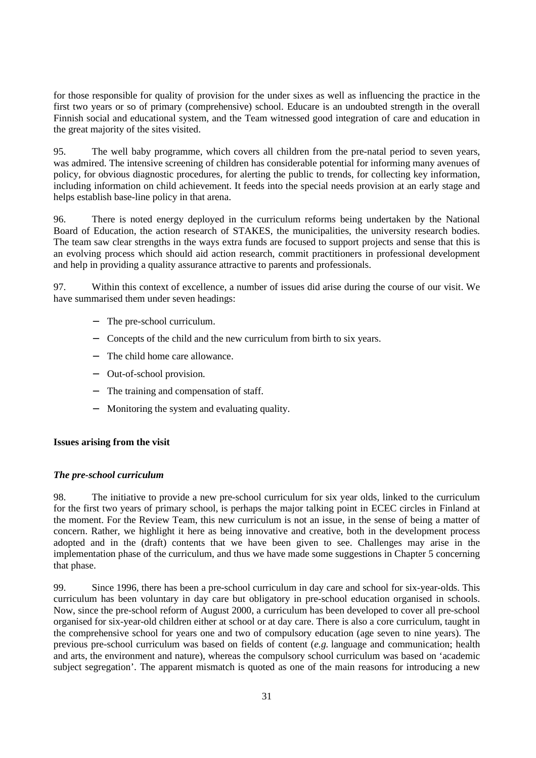for those responsible for quality of provision for the under sixes as well as influencing the practice in the first two years or so of primary (comprehensive) school. Educare is an undoubted strength in the overall Finnish social and educational system, and the Team witnessed good integration of care and education in the great majority of the sites visited.

95. The well baby programme, which covers all children from the pre-natal period to seven years, was admired. The intensive screening of children has considerable potential for informing many avenues of policy, for obvious diagnostic procedures, for alerting the public to trends, for collecting key information, including information on child achievement. It feeds into the special needs provision at an early stage and helps establish base-line policy in that arena.

96. There is noted energy deployed in the curriculum reforms being undertaken by the National Board of Education, the action research of STAKES, the municipalities, the university research bodies. The team saw clear strengths in the ways extra funds are focused to support projects and sense that this is an evolving process which should aid action research, commit practitioners in professional development and help in providing a quality assurance attractive to parents and professionals.

97. Within this context of excellence, a number of issues did arise during the course of our visit. We have summarised them under seven headings:

- − The pre-school curriculum.
- − Concepts of the child and the new curriculum from birth to six years.
- − The child home care allowance.
- − Out-of-school provision.
- − The training and compensation of staff.
- − Monitoring the system and evaluating quality.

## **Issues arising from the visit**

## *The pre-school curriculum*

98. The initiative to provide a new pre-school curriculum for six year olds, linked to the curriculum for the first two years of primary school, is perhaps the major talking point in ECEC circles in Finland at the moment. For the Review Team, this new curriculum is not an issue, in the sense of being a matter of concern. Rather, we highlight it here as being innovative and creative, both in the development process adopted and in the (draft) contents that we have been given to see. Challenges may arise in the implementation phase of the curriculum, and thus we have made some suggestions in Chapter 5 concerning that phase.

99. Since 1996, there has been a pre-school curriculum in day care and school for six-year-olds. This curriculum has been voluntary in day care but obligatory in pre-school education organised in schools. Now, since the pre-school reform of August 2000, a curriculum has been developed to cover all pre-school organised for six-year-old children either at school or at day care. There is also a core curriculum, taught in the comprehensive school for years one and two of compulsory education (age seven to nine years). The previous pre-school curriculum was based on fields of content (*e.g.* language and communication; health and arts, the environment and nature), whereas the compulsory school curriculum was based on 'academic subject segregation'. The apparent mismatch is quoted as one of the main reasons for introducing a new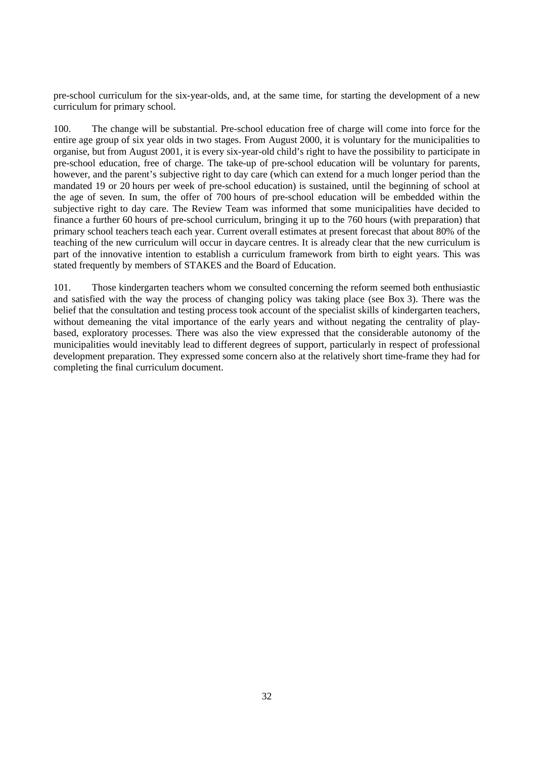pre-school curriculum for the six-year-olds, and, at the same time, for starting the development of a new curriculum for primary school.

100. The change will be substantial. Pre-school education free of charge will come into force for the entire age group of six year olds in two stages. From August 2000, it is voluntary for the municipalities to organise, but from August 2001, it is every six-year-old child's right to have the possibility to participate in pre-school education, free of charge. The take-up of pre-school education will be voluntary for parents, however, and the parent's subjective right to day care (which can extend for a much longer period than the mandated 19 or 20 hours per week of pre-school education) is sustained, until the beginning of school at the age of seven. In sum, the offer of 700 hours of pre-school education will be embedded within the subjective right to day care. The Review Team was informed that some municipalities have decided to finance a further 60 hours of pre-school curriculum, bringing it up to the 760 hours (with preparation) that primary school teachers teach each year. Current overall estimates at present forecast that about 80% of the teaching of the new curriculum will occur in daycare centres. It is already clear that the new curriculum is part of the innovative intention to establish a curriculum framework from birth to eight years. This was stated frequently by members of STAKES and the Board of Education.

101. Those kindergarten teachers whom we consulted concerning the reform seemed both enthusiastic and satisfied with the way the process of changing policy was taking place (see Box 3). There was the belief that the consultation and testing process took account of the specialist skills of kindergarten teachers, without demeaning the vital importance of the early years and without negating the centrality of playbased, exploratory processes. There was also the view expressed that the considerable autonomy of the municipalities would inevitably lead to different degrees of support, particularly in respect of professional development preparation. They expressed some concern also at the relatively short time-frame they had for completing the final curriculum document.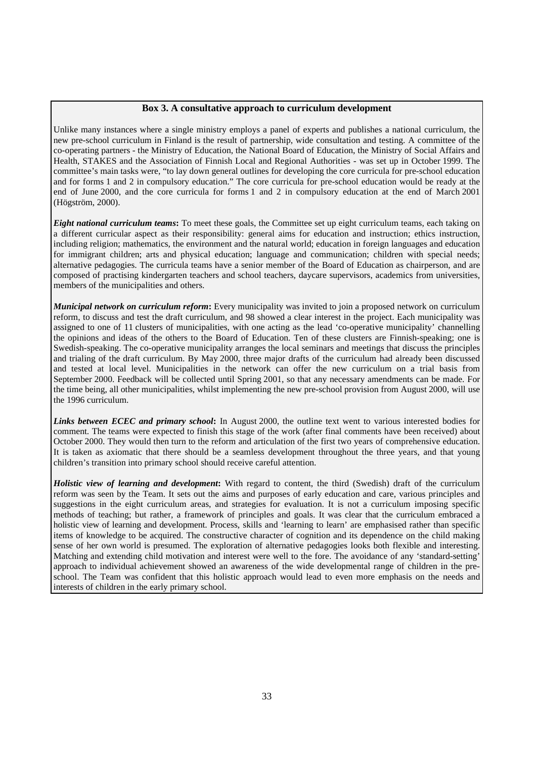#### **Box 3. A consultative approach to curriculum development**

Unlike many instances where a single ministry employs a panel of experts and publishes a national curriculum, the new pre-school curriculum in Finland is the result of partnership, wide consultation and testing. A committee of the co-operating partners - the Ministry of Education, the National Board of Education, the Ministry of Social Affairs and Health, STAKES and the Association of Finnish Local and Regional Authorities - was set up in October 1999. The committee's main tasks were, "to lay down general outlines for developing the core curricula for pre-school education and for forms 1 and 2 in compulsory education." The core curricula for pre-school education would be ready at the end of June 2000, and the core curricula for forms 1 and 2 in compulsory education at the end of March 2001 (Högström, 2000).

*Eight national curriculum teams***:** To meet these goals, the Committee set up eight curriculum teams, each taking on a different curricular aspect as their responsibility: general aims for education and instruction; ethics instruction, including religion; mathematics, the environment and the natural world; education in foreign languages and education for immigrant children; arts and physical education; language and communication; children with special needs; alternative pedagogies. The curricula teams have a senior member of the Board of Education as chairperson, and are composed of practising kindergarten teachers and school teachers, daycare supervisors, academics from universities, members of the municipalities and others.

*Municipal network on curriculum reform***:** Every municipality was invited to join a proposed network on curriculum reform, to discuss and test the draft curriculum, and 98 showed a clear interest in the project. Each municipality was assigned to one of 11 clusters of municipalities, with one acting as the lead 'co-operative municipality' channelling the opinions and ideas of the others to the Board of Education. Ten of these clusters are Finnish-speaking; one is Swedish-speaking. The co-operative municipality arranges the local seminars and meetings that discuss the principles and trialing of the draft curriculum. By May 2000, three major drafts of the curriculum had already been discussed and tested at local level. Municipalities in the network can offer the new curriculum on a trial basis from September 2000. Feedback will be collected until Spring 2001, so that any necessary amendments can be made. For the time being, all other municipalities, whilst implementing the new pre-school provision from August 2000, will use the 1996 curriculum.

*Links between ECEC and primary school***:** In August 2000, the outline text went to various interested bodies for comment. The teams were expected to finish this stage of the work (after final comments have been received) about October 2000. They would then turn to the reform and articulation of the first two years of comprehensive education. It is taken as axiomatic that there should be a seamless development throughout the three years, and that young children's transition into primary school should receive careful attention.

*Holistic view of learning and development***:** With regard to content, the third (Swedish) draft of the curriculum reform was seen by the Team. It sets out the aims and purposes of early education and care, various principles and suggestions in the eight curriculum areas, and strategies for evaluation. It is not a curriculum imposing specific methods of teaching; but rather, a framework of principles and goals. It was clear that the curriculum embraced a holistic view of learning and development. Process, skills and 'learning to learn' are emphasised rather than specific items of knowledge to be acquired. The constructive character of cognition and its dependence on the child making sense of her own world is presumed. The exploration of alternative pedagogies looks both flexible and interesting. Matching and extending child motivation and interest were well to the fore. The avoidance of any 'standard-setting' approach to individual achievement showed an awareness of the wide developmental range of children in the preschool. The Team was confident that this holistic approach would lead to even more emphasis on the needs and interests of children in the early primary school.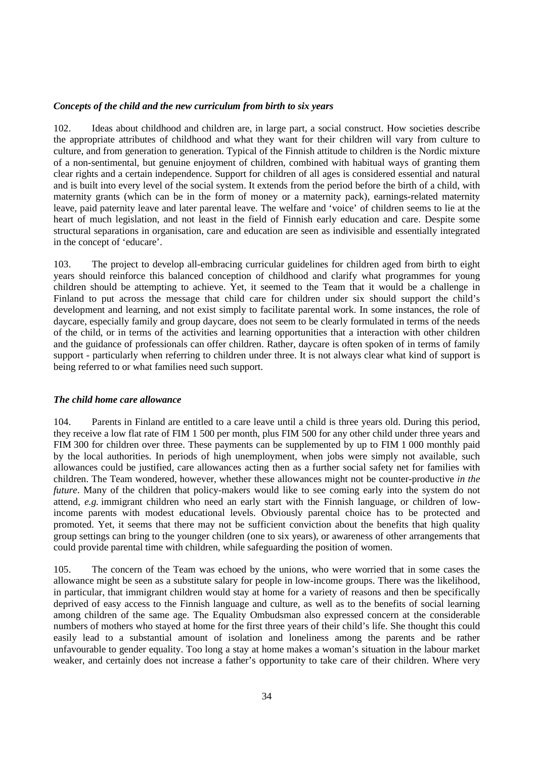#### *Concepts of the child and the new curriculum from birth to six years*

102. Ideas about childhood and children are, in large part, a social construct. How societies describe the appropriate attributes of childhood and what they want for their children will vary from culture to culture, and from generation to generation. Typical of the Finnish attitude to children is the Nordic mixture of a non-sentimental, but genuine enjoyment of children, combined with habitual ways of granting them clear rights and a certain independence. Support for children of all ages is considered essential and natural and is built into every level of the social system. It extends from the period before the birth of a child, with maternity grants (which can be in the form of money or a maternity pack), earnings-related maternity leave, paid paternity leave and later parental leave. The welfare and 'voice' of children seems to lie at the heart of much legislation, and not least in the field of Finnish early education and care. Despite some structural separations in organisation, care and education are seen as indivisible and essentially integrated in the concept of 'educare'.

103. The project to develop all-embracing curricular guidelines for children aged from birth to eight years should reinforce this balanced conception of childhood and clarify what programmes for young children should be attempting to achieve. Yet, it seemed to the Team that it would be a challenge in Finland to put across the message that child care for children under six should support the child's development and learning, and not exist simply to facilitate parental work. In some instances, the role of daycare, especially family and group daycare, does not seem to be clearly formulated in terms of the needs of the child, or in terms of the activities and learning opportunities that a interaction with other children and the guidance of professionals can offer children. Rather, daycare is often spoken of in terms of family support - particularly when referring to children under three. It is not always clear what kind of support is being referred to or what families need such support.

#### *The child home care allowance*

104. Parents in Finland are entitled to a care leave until a child is three years old. During this period, they receive a low flat rate of FIM 1 500 per month, plus FIM 500 for any other child under three years and FIM 300 for children over three. These payments can be supplemented by up to FIM 1 000 monthly paid by the local authorities. In periods of high unemployment, when jobs were simply not available, such allowances could be justified, care allowances acting then as a further social safety net for families with children. The Team wondered, however, whether these allowances might not be counter-productive *in the future*. Many of the children that policy-makers would like to see coming early into the system do not attend, *e.g.* immigrant children who need an early start with the Finnish language, or children of lowincome parents with modest educational levels. Obviously parental choice has to be protected and promoted. Yet, it seems that there may not be sufficient conviction about the benefits that high quality group settings can bring to the younger children (one to six years), or awareness of other arrangements that could provide parental time with children, while safeguarding the position of women.

105. The concern of the Team was echoed by the unions, who were worried that in some cases the allowance might be seen as a substitute salary for people in low-income groups. There was the likelihood, in particular, that immigrant children would stay at home for a variety of reasons and then be specifically deprived of easy access to the Finnish language and culture, as well as to the benefits of social learning among children of the same age. The Equality Ombudsman also expressed concern at the considerable numbers of mothers who stayed at home for the first three years of their child's life. She thought this could easily lead to a substantial amount of isolation and loneliness among the parents and be rather unfavourable to gender equality. Too long a stay at home makes a woman's situation in the labour market weaker, and certainly does not increase a father's opportunity to take care of their children. Where very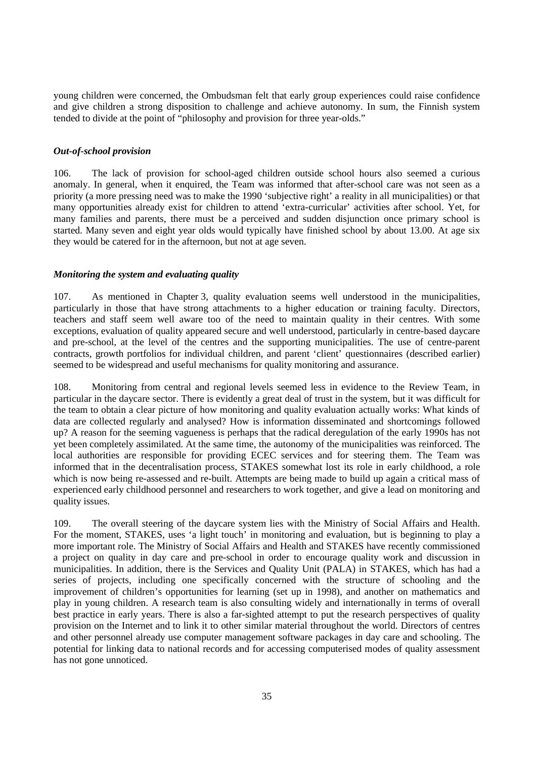young children were concerned, the Ombudsman felt that early group experiences could raise confidence and give children a strong disposition to challenge and achieve autonomy. In sum, the Finnish system tended to divide at the point of "philosophy and provision for three year-olds."

# *Out-of-school provision*

106. The lack of provision for school-aged children outside school hours also seemed a curious anomaly. In general, when it enquired, the Team was informed that after-school care was not seen as a priority (a more pressing need was to make the 1990 'subjective right' a reality in all municipalities) or that many opportunities already exist for children to attend 'extra-curricular' activities after school. Yet, for many families and parents, there must be a perceived and sudden disjunction once primary school is started. Many seven and eight year olds would typically have finished school by about 13.00. At age six they would be catered for in the afternoon, but not at age seven.

#### *Monitoring the system and evaluating quality*

107. As mentioned in Chapter 3, quality evaluation seems well understood in the municipalities, particularly in those that have strong attachments to a higher education or training faculty. Directors, teachers and staff seem well aware too of the need to maintain quality in their centres. With some exceptions, evaluation of quality appeared secure and well understood, particularly in centre-based daycare and pre-school, at the level of the centres and the supporting municipalities. The use of centre-parent contracts, growth portfolios for individual children, and parent 'client' questionnaires (described earlier) seemed to be widespread and useful mechanisms for quality monitoring and assurance.

108. Monitoring from central and regional levels seemed less in evidence to the Review Team, in particular in the daycare sector. There is evidently a great deal of trust in the system, but it was difficult for the team to obtain a clear picture of how monitoring and quality evaluation actually works: What kinds of data are collected regularly and analysed? How is information disseminated and shortcomings followed up? A reason for the seeming vagueness is perhaps that the radical deregulation of the early 1990s has not yet been completely assimilated. At the same time, the autonomy of the municipalities was reinforced. The local authorities are responsible for providing ECEC services and for steering them. The Team was informed that in the decentralisation process, STAKES somewhat lost its role in early childhood, a role which is now being re-assessed and re-built. Attempts are being made to build up again a critical mass of experienced early childhood personnel and researchers to work together, and give a lead on monitoring and quality issues.

109. The overall steering of the daycare system lies with the Ministry of Social Affairs and Health. For the moment, STAKES, uses 'a light touch' in monitoring and evaluation, but is beginning to play a more important role. The Ministry of Social Affairs and Health and STAKES have recently commissioned a project on quality in day care and pre-school in order to encourage quality work and discussion in municipalities. In addition, there is the Services and Quality Unit (PALA) in STAKES, which has had a series of projects, including one specifically concerned with the structure of schooling and the improvement of children's opportunities for learning (set up in 1998), and another on mathematics and play in young children. A research team is also consulting widely and internationally in terms of overall best practice in early years. There is also a far-sighted attempt to put the research perspectives of quality provision on the Internet and to link it to other similar material throughout the world. Directors of centres and other personnel already use computer management software packages in day care and schooling. The potential for linking data to national records and for accessing computerised modes of quality assessment has not gone unnoticed.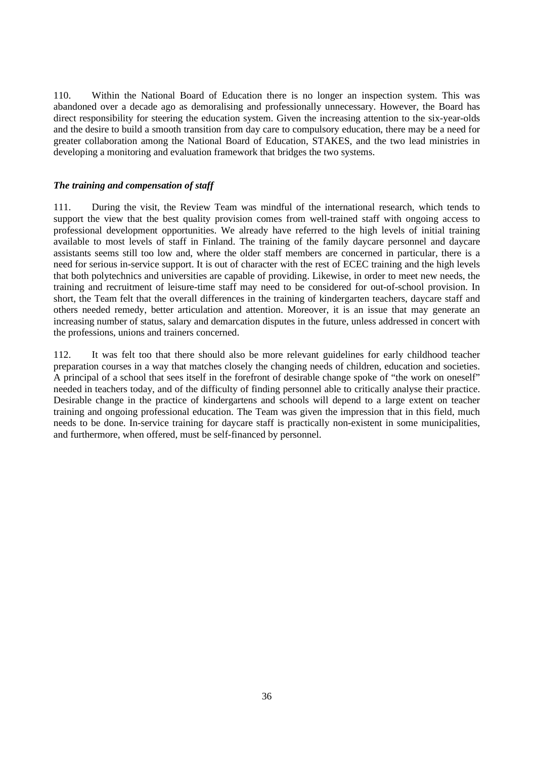110. Within the National Board of Education there is no longer an inspection system. This was abandoned over a decade ago as demoralising and professionally unnecessary. However, the Board has direct responsibility for steering the education system. Given the increasing attention to the six-year-olds and the desire to build a smooth transition from day care to compulsory education, there may be a need for greater collaboration among the National Board of Education, STAKES, and the two lead ministries in developing a monitoring and evaluation framework that bridges the two systems.

#### *The training and compensation of staff*

111. During the visit, the Review Team was mindful of the international research, which tends to support the view that the best quality provision comes from well-trained staff with ongoing access to professional development opportunities. We already have referred to the high levels of initial training available to most levels of staff in Finland. The training of the family daycare personnel and daycare assistants seems still too low and, where the older staff members are concerned in particular, there is a need for serious in-service support. It is out of character with the rest of ECEC training and the high levels that both polytechnics and universities are capable of providing. Likewise, in order to meet new needs, the training and recruitment of leisure-time staff may need to be considered for out-of-school provision. In short, the Team felt that the overall differences in the training of kindergarten teachers, daycare staff and others needed remedy, better articulation and attention. Moreover, it is an issue that may generate an increasing number of status, salary and demarcation disputes in the future, unless addressed in concert with the professions, unions and trainers concerned.

112. It was felt too that there should also be more relevant guidelines for early childhood teacher preparation courses in a way that matches closely the changing needs of children, education and societies. A principal of a school that sees itself in the forefront of desirable change spoke of "the work on oneself" needed in teachers today, and of the difficulty of finding personnel able to critically analyse their practice. Desirable change in the practice of kindergartens and schools will depend to a large extent on teacher training and ongoing professional education. The Team was given the impression that in this field, much needs to be done. In-service training for daycare staff is practically non-existent in some municipalities, and furthermore, when offered, must be self-financed by personnel.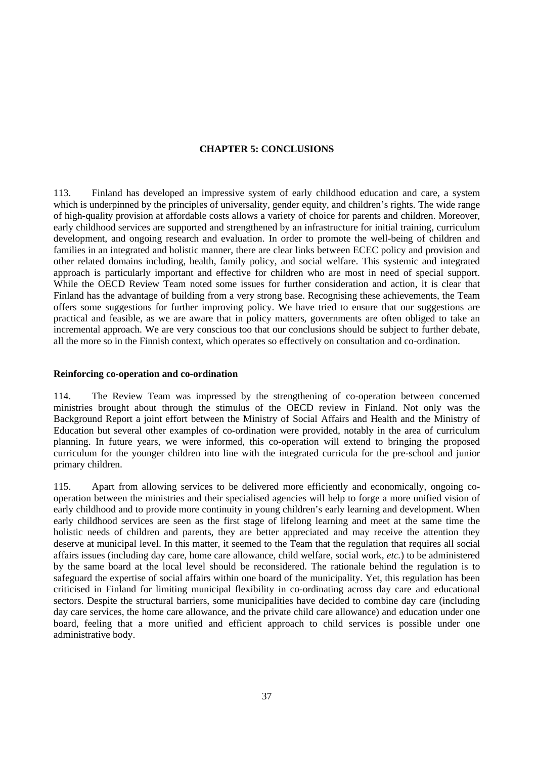#### **CHAPTER 5: CONCLUSIONS**

113. Finland has developed an impressive system of early childhood education and care, a system which is underpinned by the principles of universality, gender equity, and children's rights. The wide range of high-quality provision at affordable costs allows a variety of choice for parents and children. Moreover, early childhood services are supported and strengthened by an infrastructure for initial training, curriculum development, and ongoing research and evaluation. In order to promote the well-being of children and families in an integrated and holistic manner, there are clear links between ECEC policy and provision and other related domains including, health, family policy, and social welfare. This systemic and integrated approach is particularly important and effective for children who are most in need of special support. While the OECD Review Team noted some issues for further consideration and action, it is clear that Finland has the advantage of building from a very strong base. Recognising these achievements, the Team offers some suggestions for further improving policy. We have tried to ensure that our suggestions are practical and feasible, as we are aware that in policy matters, governments are often obliged to take an incremental approach. We are very conscious too that our conclusions should be subject to further debate, all the more so in the Finnish context, which operates so effectively on consultation and co-ordination.

#### **Reinforcing co-operation and co-ordination**

114. The Review Team was impressed by the strengthening of co-operation between concerned ministries brought about through the stimulus of the OECD review in Finland. Not only was the Background Report a joint effort between the Ministry of Social Affairs and Health and the Ministry of Education but several other examples of co-ordination were provided, notably in the area of curriculum planning. In future years, we were informed, this co-operation will extend to bringing the proposed curriculum for the younger children into line with the integrated curricula for the pre-school and junior primary children.

115. Apart from allowing services to be delivered more efficiently and economically, ongoing cooperation between the ministries and their specialised agencies will help to forge a more unified vision of early childhood and to provide more continuity in young children's early learning and development. When early childhood services are seen as the first stage of lifelong learning and meet at the same time the holistic needs of children and parents, they are better appreciated and may receive the attention they deserve at municipal level. In this matter, it seemed to the Team that the regulation that requires all social affairs issues (including day care, home care allowance, child welfare, social work, *etc.*) to be administered by the same board at the local level should be reconsidered. The rationale behind the regulation is to safeguard the expertise of social affairs within one board of the municipality. Yet, this regulation has been criticised in Finland for limiting municipal flexibility in co-ordinating across day care and educational sectors. Despite the structural barriers, some municipalities have decided to combine day care (including day care services, the home care allowance, and the private child care allowance) and education under one board, feeling that a more unified and efficient approach to child services is possible under one administrative body.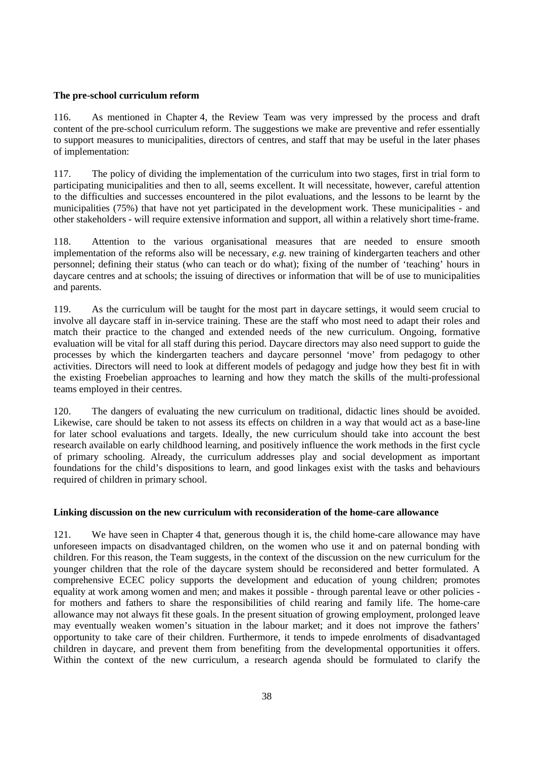#### **The pre-school curriculum reform**

116. As mentioned in Chapter 4, the Review Team was very impressed by the process and draft content of the pre-school curriculum reform. The suggestions we make are preventive and refer essentially to support measures to municipalities, directors of centres, and staff that may be useful in the later phases of implementation:

117. The policy of dividing the implementation of the curriculum into two stages, first in trial form to participating municipalities and then to all, seems excellent. It will necessitate, however, careful attention to the difficulties and successes encountered in the pilot evaluations, and the lessons to be learnt by the municipalities (75%) that have not yet participated in the development work. These municipalities - and other stakeholders - will require extensive information and support, all within a relatively short time-frame.

118. Attention to the various organisational measures that are needed to ensure smooth implementation of the reforms also will be necessary, *e.g.* new training of kindergarten teachers and other personnel; defining their status (who can teach or do what); fixing of the number of 'teaching' hours in daycare centres and at schools; the issuing of directives or information that will be of use to municipalities and parents.

119. As the curriculum will be taught for the most part in daycare settings, it would seem crucial to involve all daycare staff in in-service training. These are the staff who most need to adapt their roles and match their practice to the changed and extended needs of the new curriculum. Ongoing, formative evaluation will be vital for all staff during this period. Daycare directors may also need support to guide the processes by which the kindergarten teachers and daycare personnel 'move' from pedagogy to other activities. Directors will need to look at different models of pedagogy and judge how they best fit in with the existing Froebelian approaches to learning and how they match the skills of the multi-professional teams employed in their centres.

120. The dangers of evaluating the new curriculum on traditional, didactic lines should be avoided. Likewise, care should be taken to not assess its effects on children in a way that would act as a base-line for later school evaluations and targets. Ideally, the new curriculum should take into account the best research available on early childhood learning, and positively influence the work methods in the first cycle of primary schooling. Already, the curriculum addresses play and social development as important foundations for the child's dispositions to learn, and good linkages exist with the tasks and behaviours required of children in primary school.

#### **Linking discussion on the new curriculum with reconsideration of the home-care allowance**

121. We have seen in Chapter 4 that, generous though it is, the child home-care allowance may have unforeseen impacts on disadvantaged children, on the women who use it and on paternal bonding with children. For this reason, the Team suggests, in the context of the discussion on the new curriculum for the younger children that the role of the daycare system should be reconsidered and better formulated. A comprehensive ECEC policy supports the development and education of young children; promotes equality at work among women and men; and makes it possible - through parental leave or other policies for mothers and fathers to share the responsibilities of child rearing and family life. The home-care allowance may not always fit these goals. In the present situation of growing employment, prolonged leave may eventually weaken women's situation in the labour market; and it does not improve the fathers' opportunity to take care of their children. Furthermore, it tends to impede enrolments of disadvantaged children in daycare, and prevent them from benefiting from the developmental opportunities it offers. Within the context of the new curriculum, a research agenda should be formulated to clarify the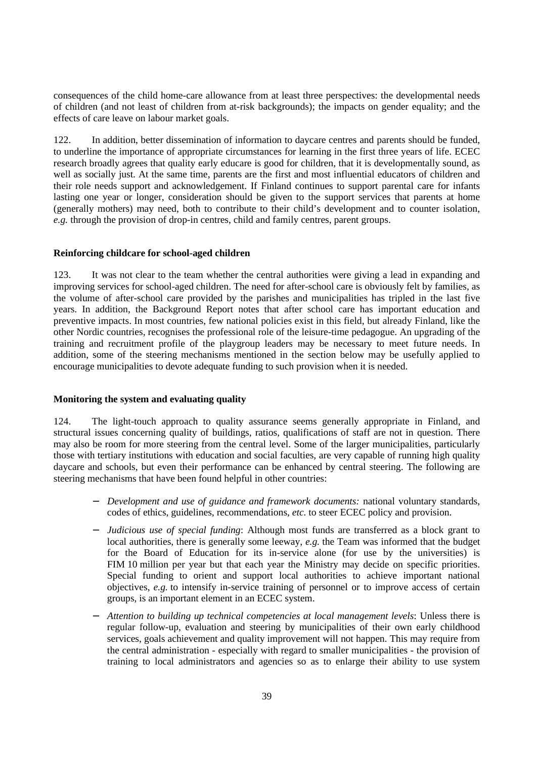consequences of the child home-care allowance from at least three perspectives: the developmental needs of children (and not least of children from at-risk backgrounds); the impacts on gender equality; and the effects of care leave on labour market goals.

122. In addition, better dissemination of information to daycare centres and parents should be funded, to underline the importance of appropriate circumstances for learning in the first three years of life. ECEC research broadly agrees that quality early educare is good for children, that it is developmentally sound, as well as socially just. At the same time, parents are the first and most influential educators of children and their role needs support and acknowledgement. If Finland continues to support parental care for infants lasting one year or longer, consideration should be given to the support services that parents at home (generally mothers) may need, both to contribute to their child's development and to counter isolation, *e.g.* through the provision of drop-in centres, child and family centres, parent groups.

#### **Reinforcing childcare for school-aged children**

123. It was not clear to the team whether the central authorities were giving a lead in expanding and improving services for school-aged children. The need for after-school care is obviously felt by families, as the volume of after-school care provided by the parishes and municipalities has tripled in the last five years. In addition, the Background Report notes that after school care has important education and preventive impacts. In most countries, few national policies exist in this field, but already Finland, like the other Nordic countries, recognises the professional role of the leisure-time pedagogue. An upgrading of the training and recruitment profile of the playgroup leaders may be necessary to meet future needs. In addition, some of the steering mechanisms mentioned in the section below may be usefully applied to encourage municipalities to devote adequate funding to such provision when it is needed.

#### **Monitoring the system and evaluating quality**

124. The light-touch approach to quality assurance seems generally appropriate in Finland, and structural issues concerning quality of buildings, ratios, qualifications of staff are not in question. There may also be room for more steering from the central level. Some of the larger municipalities, particularly those with tertiary institutions with education and social faculties, are very capable of running high quality daycare and schools, but even their performance can be enhanced by central steering. The following are steering mechanisms that have been found helpful in other countries:

- − *Development and use of guidance and framework documents:* national voluntary standards, codes of ethics, guidelines, recommendations, *etc.* to steer ECEC policy and provision.
- − *Judicious use of special funding*: Although most funds are transferred as a block grant to local authorities, there is generally some leeway, *e.g.* the Team was informed that the budget for the Board of Education for its in-service alone (for use by the universities) is FIM 10 million per year but that each year the Ministry may decide on specific priorities. Special funding to orient and support local authorities to achieve important national objectives, *e.g.* to intensify in-service training of personnel or to improve access of certain groups, is an important element in an ECEC system.
- − *Attention to building up technical competencies at local management levels*: Unless there is regular follow-up, evaluation and steering by municipalities of their own early childhood services, goals achievement and quality improvement will not happen. This may require from the central administration - especially with regard to smaller municipalities - the provision of training to local administrators and agencies so as to enlarge their ability to use system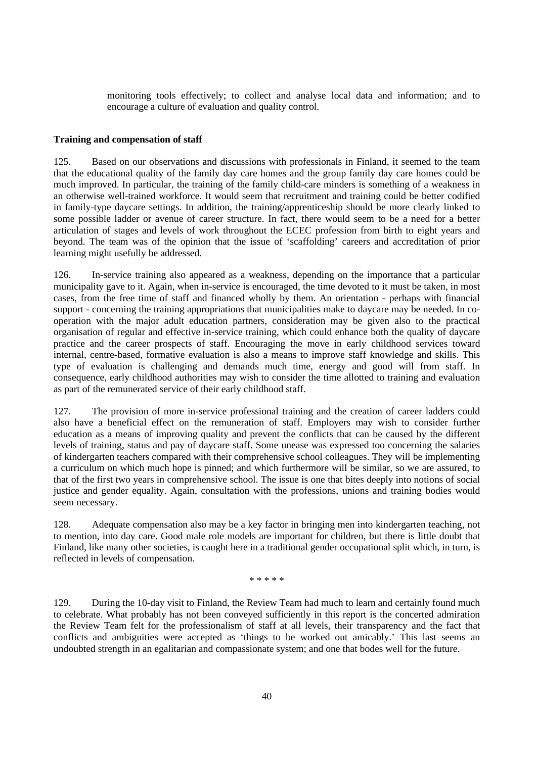monitoring tools effectively; to collect and analyse local data and information; and to encourage a culture of evaluation and quality control.

#### **Training and compensation of staff**

125. Based on our observations and discussions with professionals in Finland, it seemed to the team that the educational quality of the family day care homes and the group family day care homes could be much improved. In particular, the training of the family child-care minders is something of a weakness in an otherwise well-trained workforce. It would seem that recruitment and training could be better codified in family-type daycare settings. In addition, the training/apprenticeship should be more clearly linked to some possible ladder or avenue of career structure. In fact, there would seem to be a need for a better articulation of stages and levels of work throughout the ECEC profession from birth to eight years and beyond. The team was of the opinion that the issue of 'scaffolding' careers and accreditation of prior learning might usefully be addressed.

126. In-service training also appeared as a weakness, depending on the importance that a particular municipality gave to it. Again, when in-service is encouraged, the time devoted to it must be taken, in most cases, from the free time of staff and financed wholly by them. An orientation - perhaps with financial support - concerning the training appropriations that municipalities make to daycare may be needed. In cooperation with the major adult education partners, consideration may be given also to the practical organisation of regular and effective in-service training, which could enhance both the quality of daycare practice and the career prospects of staff. Encouraging the move in early childhood services toward internal, centre-based, formative evaluation is also a means to improve staff knowledge and skills. This type of evaluation is challenging and demands much time, energy and good will from staff. In consequence, early childhood authorities may wish to consider the time allotted to training and evaluation as part of the remunerated service of their early childhood staff.

127. The provision of more in-service professional training and the creation of career ladders could also have a beneficial effect on the remuneration of staff. Employers may wish to consider further education as a means of improving quality and prevent the conflicts that can be caused by the different levels of training, status and pay of daycare staff. Some unease was expressed too concerning the salaries of kindergarten teachers compared with their comprehensive school colleagues. They will be implementing a curriculum on which much hope is pinned; and which furthermore will be similar, so we are assured, to that of the first two years in comprehensive school. The issue is one that bites deeply into notions of social justice and gender equality. Again, consultation with the professions, unions and training bodies would seem necessary.

128. Adequate compensation also may be a key factor in bringing men into kindergarten teaching, not to mention, into day care. Good male role models are important for children, but there is little doubt that Finland, like many other societies, is caught here in a traditional gender occupational split which, in turn, is reflected in levels of compensation.

#### \*\*\*\*\*

129. During the 10-day visit to Finland, the Review Team had much to learn and certainly found much to celebrate. What probably has not been conveyed sufficiently in this report is the concerted admiration the Review Team felt for the professionalism of staff at all levels, their transparency and the fact that conflicts and ambiguities were accepted as 'things to be worked out amicably.' This last seems an undoubted strength in an egalitarian and compassionate system; and one that bodes well for the future.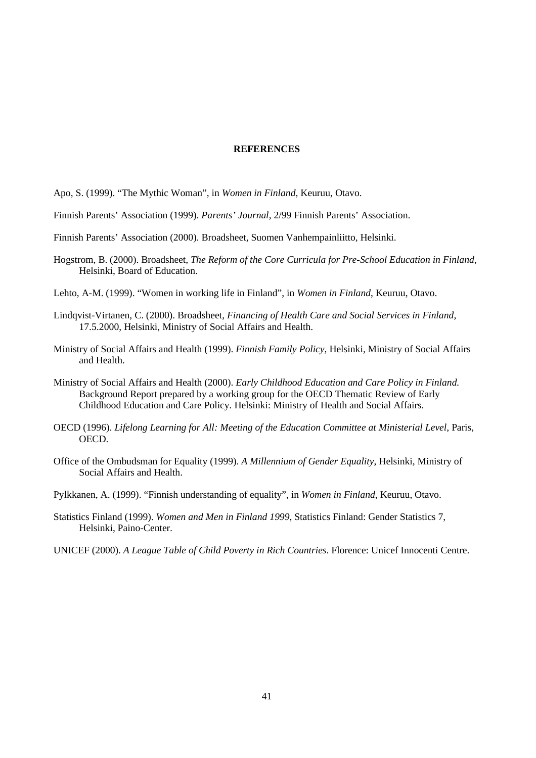#### **REFERENCES**

- Apo, S. (1999). "The Mythic Woman", in *Women in Finland*, Keuruu, Otavo.
- Finnish Parents' Association (1999). *Parents' Journal*, 2/99 Finnish Parents' Association.
- Finnish Parents' Association (2000). Broadsheet, Suomen Vanhempainliitto, Helsinki.
- Hogstrom, B. (2000). Broadsheet, *The Reform of the Core Curricula for Pre-School Education in Finland*, Helsinki, Board of Education.
- Lehto, A-M. (1999). "Women in working life in Finland", in *Women in Finland*, Keuruu, Otavo.
- Lindqvist-Virtanen, C. (2000). Broadsheet, *Financing of Health Care and Social Services in Finland*, 17.5.2000, Helsinki, Ministry of Social Affairs and Health.
- Ministry of Social Affairs and Health (1999). *Finnish Family Policy*, Helsinki, Ministry of Social Affairs and Health.
- Ministry of Social Affairs and Health (2000). *Early Childhood Education and Care Policy in Finland.* Background Report prepared by a working group for the OECD Thematic Review of Early Childhood Education and Care Policy*.* Helsinki: Ministry of Health and Social Affairs.
- OECD (1996). *Lifelong Learning for All: Meeting of the Education Committee at Ministerial Level*, Paris, OECD.
- Office of the Ombudsman for Equality (1999). *A Millennium of Gender Equality*, Helsinki, Ministry of Social Affairs and Health.
- Pylkkanen, A. (1999). "Finnish understanding of equality", in *Women in Finland*, Keuruu, Otavo.
- Statistics Finland (1999). *Women and Men in Finland 1999*, Statistics Finland: Gender Statistics 7, Helsinki, Paino-Center.
- UNICEF (2000). *A League Table of Child Poverty in Rich Countries*. Florence: Unicef Innocenti Centre.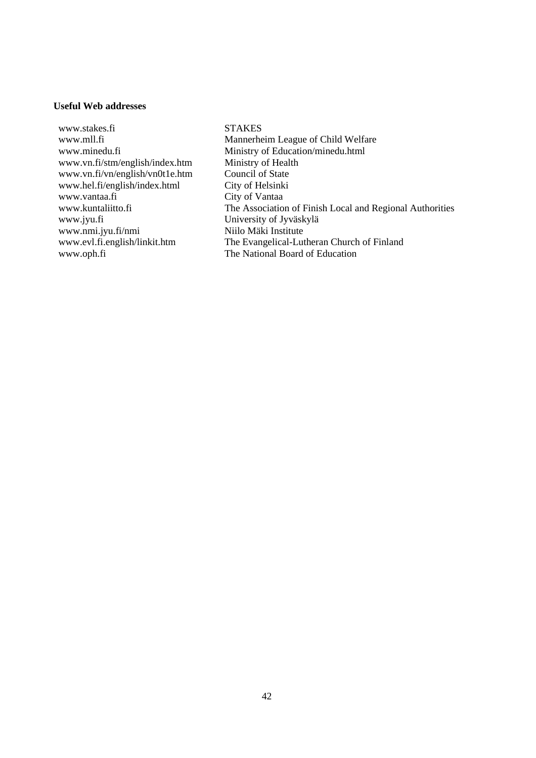# **Useful Web addresses**

www.stakes.fi STAKES www.vn.fi/stm/english/index.htm Ministry of Health<br>www.vn.fi/vn/english/vn0t1e.htm Council of State www.vn.fi/vn/english/vn0t1e.htm www.hel.fi/english/index.html City of Helsinki<br>www.vantaa.fi City of Vantaa www.jyu.fi University of Jyväskylä<br>www.nmi.jyu.fi/nmi Niilo Mäki Institute www.nmi.jyu.fi/nmi<br>www.evl.fi.english/linkit.htm www.oph.fi The National Board of Education

www.mll.fi Mannerheim League of Child Welfare www.minedu.fi Ministry of Education/minedu.html City of Vantaa www.kuntaliitto.fi The Association of Finish Local and Regional Authorities www.evl.fi.english/linkit.htm The Evangelical-Lutheran Church of Finland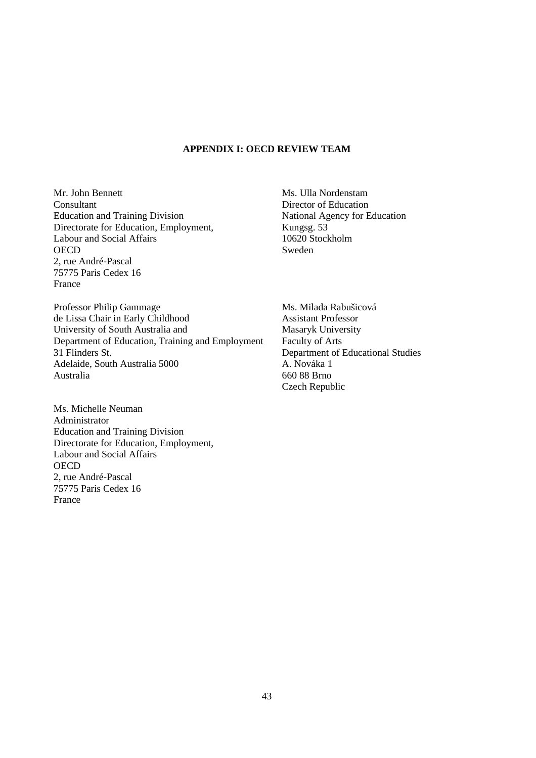#### **APPENDIX I: OECD REVIEW TEAM**

Mr. John Bennett **Consultant** Education and Training Division Directorate for Education, Employment, Labour and Social Affairs **OECD** 2, rue André-Pascal 75775 Paris Cedex 16 France

Professor Philip Gammage de Lissa Chair in Early Childhood University of South Australia and Department of Education, Training and Employment 31 Flinders St. Adelaide, South Australia 5000 Australia

Ms. Michelle Neuman Administrator Education and Training Division Directorate for Education, Employment, Labour and Social Affairs **OECD** 2, rue André-Pascal 75775 Paris Cedex 16 France

Ms. Ulla Nordenstam Director of Education National Agency for Education Kungsg. 53 10620 Stockholm Sweden

Ms. Milada Rabušicová Assistant Professor Masaryk University Faculty of Arts Department of Educational Studies A. Nováka 1 660 88 Brno Czech Republic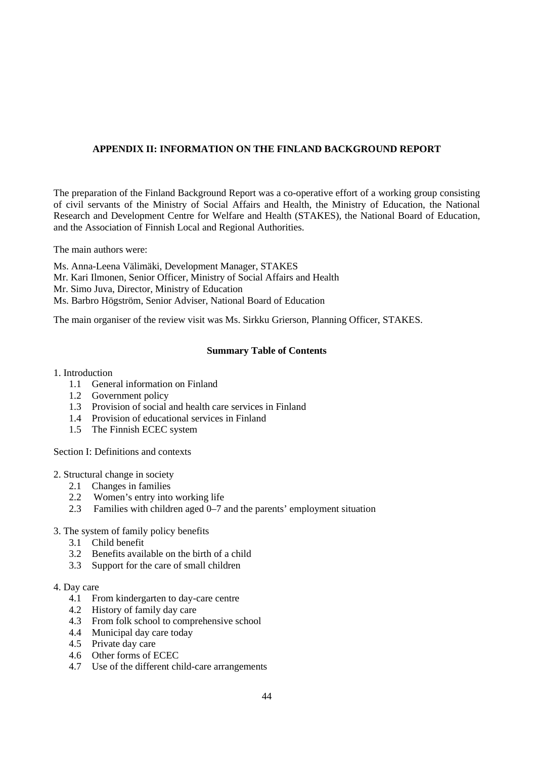# **APPENDIX II: INFORMATION ON THE FINLAND BACKGROUND REPORT**

The preparation of the Finland Background Report was a co-operative effort of a working group consisting of civil servants of the Ministry of Social Affairs and Health, the Ministry of Education, the National Research and Development Centre for Welfare and Health (STAKES), the National Board of Education, and the Association of Finnish Local and Regional Authorities.

The main authors were:

Ms. Anna-Leena Välimäki, Development Manager, STAKES

- Mr. Kari Ilmonen, Senior Officer, Ministry of Social Affairs and Health
- Mr. Simo Juva, Director, Ministry of Education
- Ms. Barbro Högström, Senior Adviser, National Board of Education

The main organiser of the review visit was Ms. Sirkku Grierson, Planning Officer, STAKES.

# **Summary Table of Contents**

# 1. Introduction

- 1.1 General information on Finland
- 1.2 Government policy
- 1.3 Provision of social and health care services in Finland
- 1.4 Provision of educational services in Finland
- 1.5 The Finnish ECEC system

Section I: Definitions and contexts

2. Structural change in society

- 2.1 Changes in families
- 2.2 Women's entry into working life
- 2.3 Families with children aged 0–7 and the parents' employment situation
- 3. The system of family policy benefits
	- 3.1 Child benefit
	- 3.2 Benefits available on the birth of a child
	- 3.3 Support for the care of small children
- 4. Day care
	- 4.1 From kindergarten to day-care centre
	- 4.2 History of family day care
	- 4.3 From folk school to comprehensive school
	- 4.4 Municipal day care today
	- 4.5 Private day care
	- 4.6 Other forms of ECEC
	- 4.7 Use of the different child-care arrangements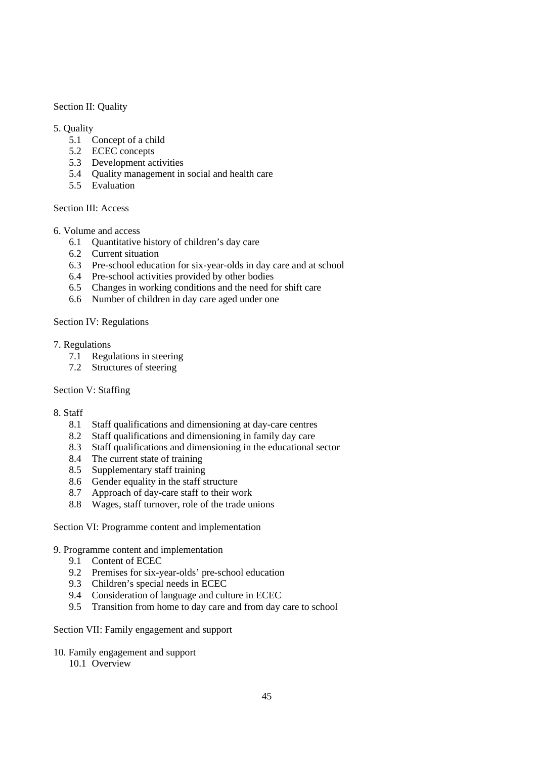Section II: Quality

# 5. Quality

- 5.1 Concept of a child
- 5.2 ECEC concepts
- 5.3 Development activities
- 5.4 Quality management in social and health care
- 5.5 Evaluation

# Section III: Access

# 6. Volume and access

- 6.1 Quantitative history of children's day care
- 6.2 Current situation
- 6.3 Pre-school education for six-year-olds in day care and at school
- 6.4 Pre-school activities provided by other bodies
- 6.5 Changes in working conditions and the need for shift care
- 6.6 Number of children in day care aged under one

# Section IV: Regulations

## 7. Regulations

- 7.1 Regulations in steering
- 7.2 Structures of steering

# Section V: Staffing

## 8. Staff

- 8.1 Staff qualifications and dimensioning at day-care centres
- 8.2 Staff qualifications and dimensioning in family day care
- 8.3 Staff qualifications and dimensioning in the educational sector
- 8.4 The current state of training
- 8.5 Supplementary staff training
- 8.6 Gender equality in the staff structure
- 8.7 Approach of day-care staff to their work
- 8.8 Wages, staff turnover, role of the trade unions

# Section VI: Programme content and implementation

## 9. Programme content and implementation

- 9.1 Content of ECEC
- 9.2 Premises for six-year-olds' pre-school education
- 9.3 Children's special needs in ECEC
- 9.4 Consideration of language and culture in ECEC
- 9.5 Transition from home to day care and from day care to school

## Section VII: Family engagement and support

- 10. Family engagement and support
	- 10.1 Overview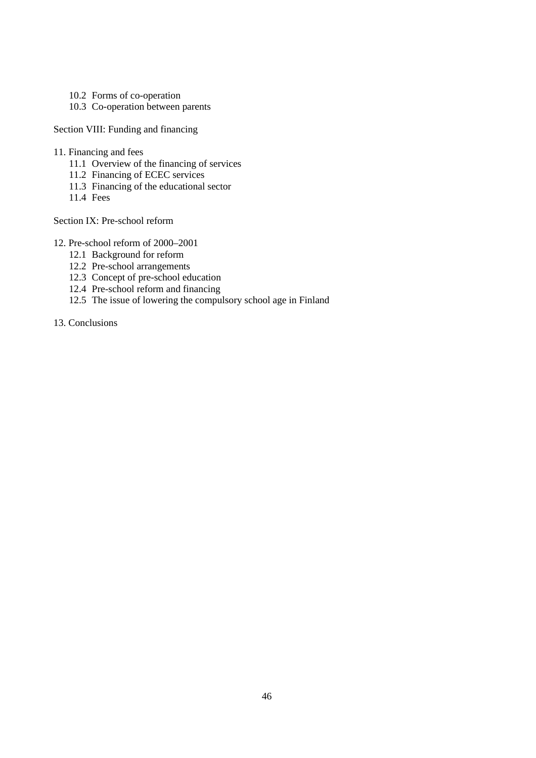- 10.2 Forms of co-operation
- 10.3 Co-operation between parents

Section VIII: Funding and financing

- 11. Financing and fees
	- 11.1 Overview of the financing of services
	- 11.2 Financing of ECEC services
	- 11.3 Financing of the educational sector
	- 11.4 Fees

Section IX: Pre-school reform

- 12. Pre-school reform of 2000–2001
	- 12.1 Background for reform
	- 12.2 Pre-school arrangements
	- 12.3 Concept of pre-school education
	- 12.4 Pre-school reform and financing
	- 12.5 The issue of lowering the compulsory school age in Finland
- 13. Conclusions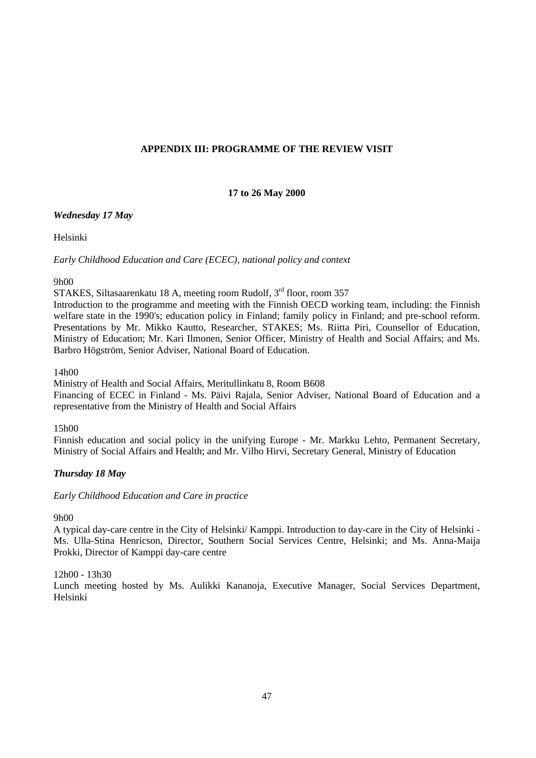# **APPENDIX III: PROGRAMME OF THE REVIEW VISIT**

# **17 to 26 May 2000**

# *Wednesday 17 May*

Helsinki

*Early Childhood Education and Care (ECEC), national policy and context*

## 9h00

STAKES, Siltasaarenkatu 18 A, meeting room Rudolf, 3<sup>rd</sup> floor, room 357

Introduction to the programme and meeting with the Finnish OECD working team, including: the Finnish welfare state in the 1990's; education policy in Finland; family policy in Finland; and pre-school reform. Presentations by Mr. Mikko Kautto, Researcher, STAKES; Ms. Riitta Piri, Counsellor of Education, Ministry of Education; Mr. Kari Ilmonen, Senior Officer, Ministry of Health and Social Affairs; and Ms. Barbro Högström, Senior Adviser, National Board of Education.

# 14h00

Ministry of Health and Social Affairs, Meritullinkatu 8, Room B608 Financing of ECEC in Finland - Ms. Päivi Rajala, Senior Adviser, National Board of Education and a representative from the Ministry of Health and Social Affairs

## 15h00

Finnish education and social policy in the unifying Europe - Mr. Markku Lehto, Permanent Secretary, Ministry of Social Affairs and Health; and Mr. Vilho Hirvi, Secretary General, Ministry of Education

# *Thursday 18 May*

## *Early Childhood Education and Care in practice*

## 9h00

A typical day-care centre in the City of Helsinki/ Kamppi. Introduction to day-care in the City of Helsinki - Ms. Ulla-Stina Henricson, Director, Southern Social Services Centre, Helsinki; and Ms. Anna-Maija Prokki, Director of Kamppi day-care centre

## 12h00 - 13h30

Lunch meeting hosted by Ms. Aulikki Kananoja, Executive Manager, Social Services Department, Helsinki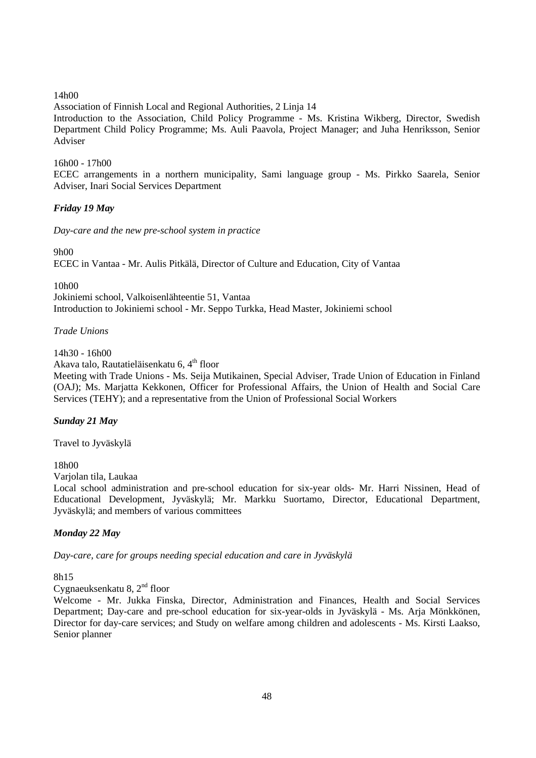# 14h00

Association of Finnish Local and Regional Authorities, 2 Linja 14

Introduction to the Association, Child Policy Programme - Ms. Kristina Wikberg, Director, Swedish Department Child Policy Programme; Ms. Auli Paavola, Project Manager; and Juha Henriksson, Senior Adviser

# 16h00 - 17h00

ECEC arrangements in a northern municipality, Sami language group - Ms. Pirkko Saarela, Senior Adviser, Inari Social Services Department

# *Friday 19 May*

*Day-care and the new pre-school system in practice*

9h00

ECEC in Vantaa - Mr. Aulis Pitkälä, Director of Culture and Education, City of Vantaa

10h00

Jokiniemi school, Valkoisenlähteentie 51, Vantaa Introduction to Jokiniemi school - Mr. Seppo Turkka, Head Master, Jokiniemi school

*Trade Unions*

14h30 - 16h00

Akava talo, Rautatieläisenkatu 6,4<sup>th</sup> floor

Meeting with Trade Unions - Ms. Seija Mutikainen, Special Adviser, Trade Union of Education in Finland (OAJ); Ms. Marjatta Kekkonen, Officer for Professional Affairs, the Union of Health and Social Care Services (TEHY); and a representative from the Union of Professional Social Workers

## *Sunday 21 May*

Travel to Jyväskylä

18h00

Varjolan tila, Laukaa

Local school administration and pre-school education for six-year olds- Mr. Harri Nissinen, Head of Educational Development, Jyväskylä; Mr. Markku Suortamo, Director, Educational Department, Jyväskylä; and members of various committees

# *Monday 22 May*

*Day-care, care for groups needing special education and care in Jyväskylä*

8h15

Cygnaeuksenkatu 8, 2nd floor

Welcome - Mr. Jukka Finska, Director, Administration and Finances, Health and Social Services Department; Day-care and pre-school education for six-year-olds in Jyväskylä - Ms. Arja Mönkkönen, Director for day-care services; and Study on welfare among children and adolescents - Ms. Kirsti Laakso, Senior planner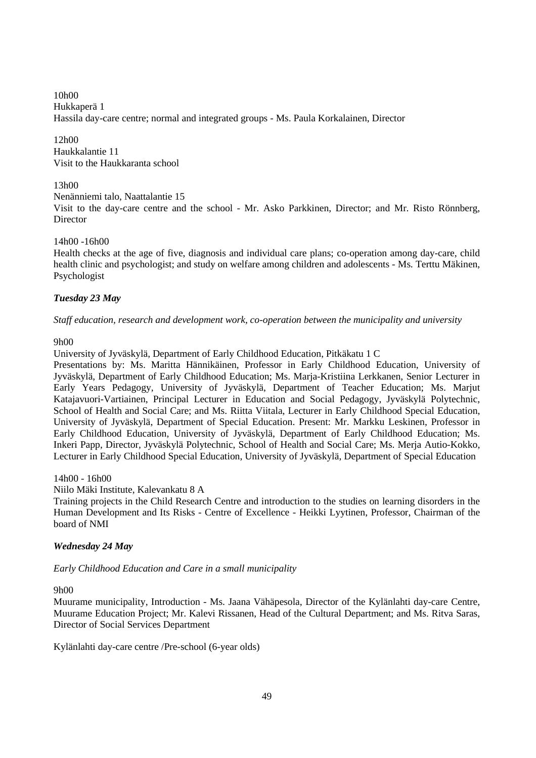10h00 Hukkaperä 1 Hassila day-care centre; normal and integrated groups - Ms. Paula Korkalainen, Director

12h00 Haukkalantie 11 Visit to the Haukkaranta school

# 13h00

Nenänniemi talo, Naattalantie 15

Visit to the day-care centre and the school - Mr. Asko Parkkinen, Director; and Mr. Risto Rönnberg, **Director** 

# 14h00 -16h00

Health checks at the age of five, diagnosis and individual care plans; co-operation among day-care, child health clinic and psychologist; and study on welfare among children and adolescents - Ms. Terttu Mäkinen, Psychologist

# *Tuesday 23 May*

*Staff education, research and development work, co-operation between the municipality and university*

9h00

University of Jyväskylä, Department of Early Childhood Education, Pitkäkatu 1 C

Presentations by: Ms. Maritta Hännikäinen, Professor in Early Childhood Education, University of Jyväskylä, Department of Early Childhood Education; Ms. Marja-Kristiina Lerkkanen, Senior Lecturer in Early Years Pedagogy, University of Jyväskylä, Department of Teacher Education; Ms. Marjut Katajavuori-Vartiainen, Principal Lecturer in Education and Social Pedagogy, Jyväskylä Polytechnic, School of Health and Social Care; and Ms. Riitta Viitala, Lecturer in Early Childhood Special Education, University of Jyväskylä, Department of Special Education. Present: Mr. Markku Leskinen, Professor in Early Childhood Education, University of Jyväskylä, Department of Early Childhood Education; Ms. Inkeri Papp, Director, Jyväskylä Polytechnic, School of Health and Social Care; Ms. Merja Autio-Kokko, Lecturer in Early Childhood Special Education, University of Jyväskylä, Department of Special Education

14h00 - 16h00

Niilo Mäki Institute, Kalevankatu 8 A

Training projects in the Child Research Centre and introduction to the studies on learning disorders in the Human Development and Its Risks - Centre of Excellence - Heikki Lyytinen, Professor, Chairman of the board of NMI

# *Wednesday 24 May*

*Early Childhood Education and Care in a small municipality*

9h00

Muurame municipality, Introduction - Ms. Jaana Vähäpesola, Director of the Kylänlahti day-care Centre, Muurame Education Project; Mr. Kalevi Rissanen, Head of the Cultural Department; and Ms. Ritva Saras, Director of Social Services Department

Kylänlahti day-care centre /Pre-school (6-year olds)